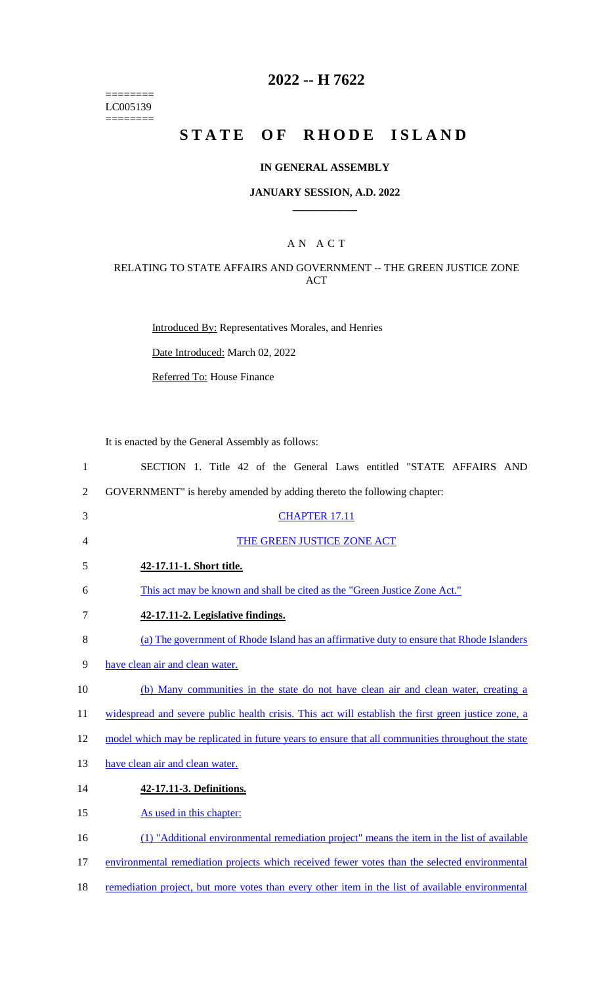======== LC005139  $=$ 

# **2022 -- H 7622**

# **STATE OF RHODE ISLAND**

## **IN GENERAL ASSEMBLY**

#### **JANUARY SESSION, A.D. 2022 \_\_\_\_\_\_\_\_\_\_\_\_**

# A N A C T

# RELATING TO STATE AFFAIRS AND GOVERNMENT -- THE GREEN JUSTICE ZONE ACT

Introduced By: Representatives Morales, and Henries

Date Introduced: March 02, 2022

Referred To: House Finance

It is enacted by the General Assembly as follows:

| $\mathbf{1}$   | SECTION 1. Title 42 of the General Laws entitled "STATE AFFAIRS AND                                 |
|----------------|-----------------------------------------------------------------------------------------------------|
| $\overline{2}$ | GOVERNMENT" is hereby amended by adding thereto the following chapter:                              |
| 3              | <b>CHAPTER 17.11</b>                                                                                |
| $\overline{4}$ | THE GREEN JUSTICE ZONE ACT                                                                          |
| 5              | 42-17.11-1. Short title.                                                                            |
| 6              | This act may be known and shall be cited as the "Green Justice Zone Act."                           |
| 7              | 42-17.11-2. Legislative findings.                                                                   |
| 8              | (a) The government of Rhode Island has an affirmative duty to ensure that Rhode Islanders           |
| 9              | have clean air and clean water.                                                                     |
| 10             | (b) Many communities in the state do not have clean air and clean water, creating a                 |
| 11             | widespread and severe public health crisis. This act will establish the first green justice zone, a |
| 12             | model which may be replicated in future years to ensure that all communities throughout the state   |
| 13             | have clean air and clean water.                                                                     |
| 14             | 42-17.11-3. Definitions.                                                                            |
| 15             | As used in this chapter:                                                                            |
| 16             | (1) "Additional environmental remediation project" means the item in the list of available          |
| 17             | environmental remediation projects which received fewer votes than the selected environmental       |
| 18             | remediation project, but more votes than every other item in the list of available environmental    |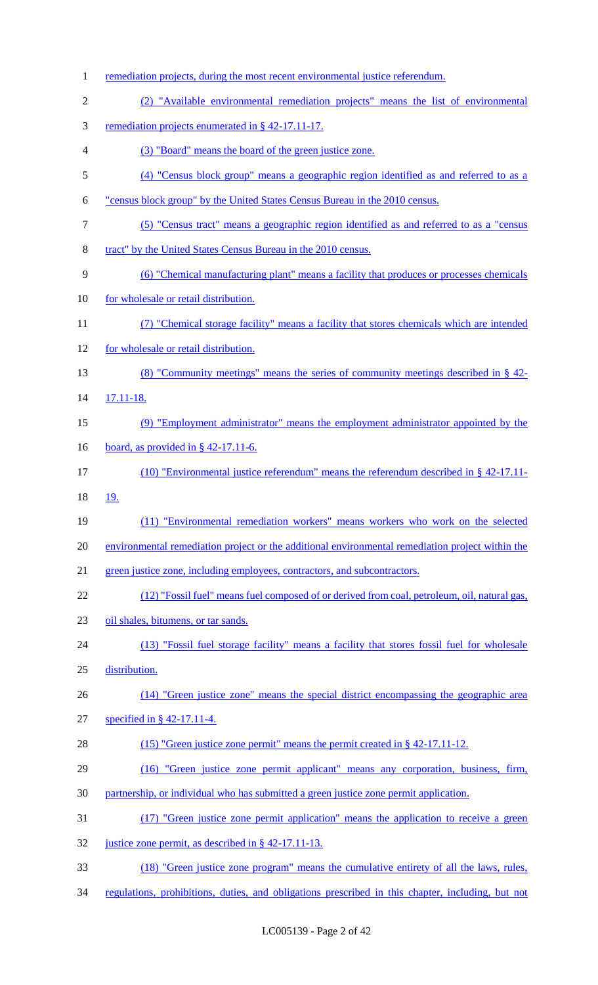1 remediation projects, during the most recent environmental justice referendum. (2) "Available environmental remediation projects" means the list of environmental remediation projects enumerated in § 42-17.11-17. (3) "Board" means the board of the green justice zone. (4) "Census block group" means a geographic region identified as and referred to as a "census block group" by the United States Census Bureau in the 2010 census. (5) "Census tract" means a geographic region identified as and referred to as a "census tract" by the United States Census Bureau in the 2010 census. (6) "Chemical manufacturing plant" means a facility that produces or processes chemicals 10 for wholesale or retail distribution. (7) "Chemical storage facility" means a facility that stores chemicals which are intended for wholesale or retail distribution. (8) "Community meetings" means the series of community meetings described in § 42- 17.11-18. (9) "Employment administrator" means the employment administrator appointed by the 16 board, as provided in § 42-17.11-6. (10) "Environmental justice referendum" means the referendum described in § 42-17.11- 19. (11) "Environmental remediation workers" means workers who work on the selected environmental remediation project or the additional environmental remediation project within the green justice zone, including employees, contractors, and subcontractors. (12) "Fossil fuel" means fuel composed of or derived from coal, petroleum, oil, natural gas, oil shales, bitumens, or tar sands. (13) "Fossil fuel storage facility" means a facility that stores fossil fuel for wholesale distribution. (14) "Green justice zone" means the special district encompassing the geographic area specified in § 42-17.11-4. (15) "Green justice zone permit" means the permit created in § 42-17.11-12. (16) "Green justice zone permit applicant" means any corporation, business, firm, partnership, or individual who has submitted a green justice zone permit application. (17) "Green justice zone permit application" means the application to receive a green justice zone permit, as described in § 42-17.11-13. (18) "Green justice zone program" means the cumulative entirety of all the laws, rules, regulations, prohibitions, duties, and obligations prescribed in this chapter, including, but not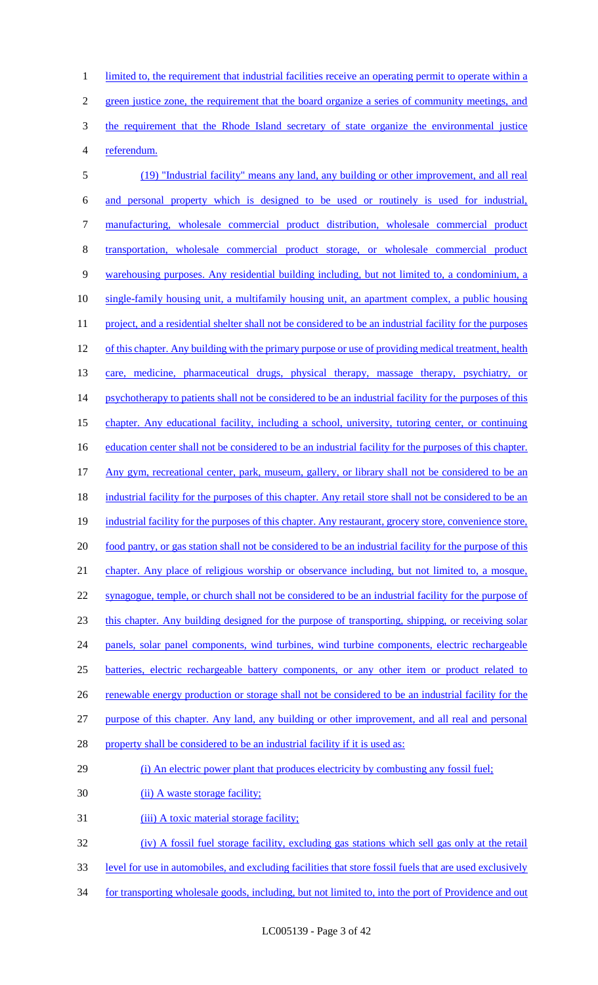1 limited to, the requirement that industrial facilities receive an operating permit to operate within a 2 green justice zone, the requirement that the board organize a series of community meetings, and 3 the requirement that the Rhode Island secretary of state organize the environmental justice 4 referendum.

5 (19) "Industrial facility" means any land, any building or other improvement, and all real 6 and personal property which is designed to be used or routinely is used for industrial, 7 manufacturing, wholesale commercial product distribution, wholesale commercial product 8 transportation, wholesale commercial product storage, or wholesale commercial product 9 warehousing purposes. Any residential building including, but not limited to, a condominium, a 10 single-family housing unit, a multifamily housing unit, an apartment complex, a public housing 11 project, and a residential shelter shall not be considered to be an industrial facility for the purposes 12 of this chapter. Any building with the primary purpose or use of providing medical treatment, health 13 care, medicine, pharmaceutical drugs, physical therapy, massage therapy, psychiatry, or 14 psychotherapy to patients shall not be considered to be an industrial facility for the purposes of this 15 chapter. Any educational facility, including a school, university, tutoring center, or continuing 16 education center shall not be considered to be an industrial facility for the purposes of this chapter. 17 Any gym, recreational center, park, museum, gallery, or library shall not be considered to be an 18 industrial facility for the purposes of this chapter. Any retail store shall not be considered to be an 19 industrial facility for the purposes of this chapter. Any restaurant, grocery store, convenience store, 20 food pantry, or gas station shall not be considered to be an industrial facility for the purpose of this 21 chapter. Any place of religious worship or observance including, but not limited to, a mosque, 22 synagogue, temple, or church shall not be considered to be an industrial facility for the purpose of 23 this chapter. Any building designed for the purpose of transporting, shipping, or receiving solar 24 panels, solar panel components, wind turbines, wind turbine components, electric rechargeable 25 batteries, electric rechargeable battery components, or any other item or product related to 26 renewable energy production or storage shall not be considered to be an industrial facility for the 27 purpose of this chapter. Any land, any building or other improvement, and all real and personal 28 property shall be considered to be an industrial facility if it is used as: 29 (i) An electric power plant that produces electricity by combusting any fossil fuel; 30 (ii) A waste storage facility; 31 (iii) A toxic material storage facility; 32 (iv) A fossil fuel storage facility, excluding gas stations which sell gas only at the retail

- 33 level for use in automobiles, and excluding facilities that store fossil fuels that are used exclusively
- 34 for transporting wholesale goods, including, but not limited to, into the port of Providence and out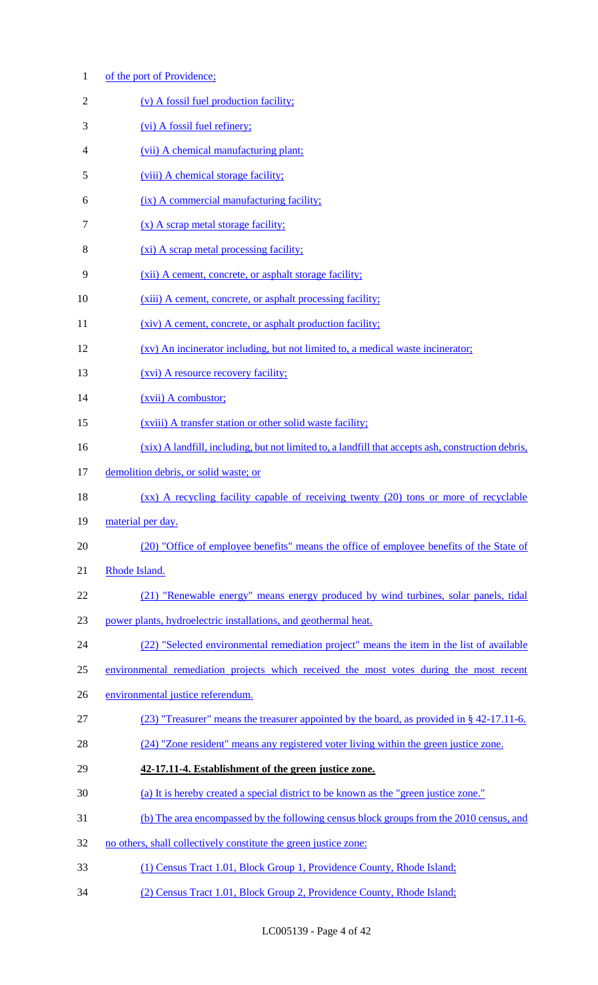| $\mathbf{1}$ | of the port of Providence;                                                                         |
|--------------|----------------------------------------------------------------------------------------------------|
| 2            | (v) A fossil fuel production facility;                                                             |
| 3            | (vi) A fossil fuel refinery;                                                                       |
| 4            | (vii) A chemical manufacturing plant;                                                              |
| 5            | (viii) A chemical storage facility;                                                                |
| 6            | (ix) A commercial manufacturing facility;                                                          |
| 7            | (x) A scrap metal storage facility;                                                                |
| 8            | (xi) A scrap metal processing facility;                                                            |
| 9            | (xii) A cement, concrete, or asphalt storage facility;                                             |
| 10           | (xiii) A cement, concrete, or asphalt processing facility;                                         |
| 11           | (xiv) A cement, concrete, or asphalt production facility;                                          |
| 12           | (xv) An incinerator including, but not limited to, a medical waste incinerator;                    |
| 13           | <u>(xvi)</u> A resource recovery facility;                                                         |
| 14           | (xvii) A combustor;                                                                                |
| 15           | (xviii) A transfer station or other solid waste facility;                                          |
| 16           | (xix) A landfill, including, but not limited to, a landfill that accepts ash, construction debris, |
| 17           | demolition debris, or solid waste; or                                                              |
| 18           | $(xx)$ A recycling facility capable of receiving twenty (20) tons or more of recyclable            |
| 19           | material per day.                                                                                  |
| 20           | (20) "Office of employee benefits" means the office of employee benefits of the State of           |
| 21           | Rhode Island.                                                                                      |
| 22           | (21) "Renewable energy" means energy produced by wind turbines, solar panels, tidal                |
| 23           | power plants, hydroelectric installations, and geothermal heat.                                    |
| 24           | (22) "Selected environmental remediation project" means the item in the list of available          |
| 25           | environmental remediation projects which received the most votes during the most recent            |
| 26           | environmental justice referendum.                                                                  |
| 27           | (23) "Treasurer" means the treasurer appointed by the board, as provided in § 42-17.11-6.          |
| 28           | (24) "Zone resident" means any registered voter living within the green justice zone.              |
| 29           | 42-17.11-4. Establishment of the green justice zone.                                               |
| 30           | (a) It is hereby created a special district to be known as the "green justice zone."               |
| 31           | (b) The area encompassed by the following census block groups from the 2010 census, and            |
| 32           | no others, shall collectively constitute the green justice zone:                                   |
| 33           | (1) Census Tract 1.01, Block Group 1, Providence County, Rhode Island;                             |
| 34           | (2) Census Tract 1.01, Block Group 2, Providence County, Rhode Island;                             |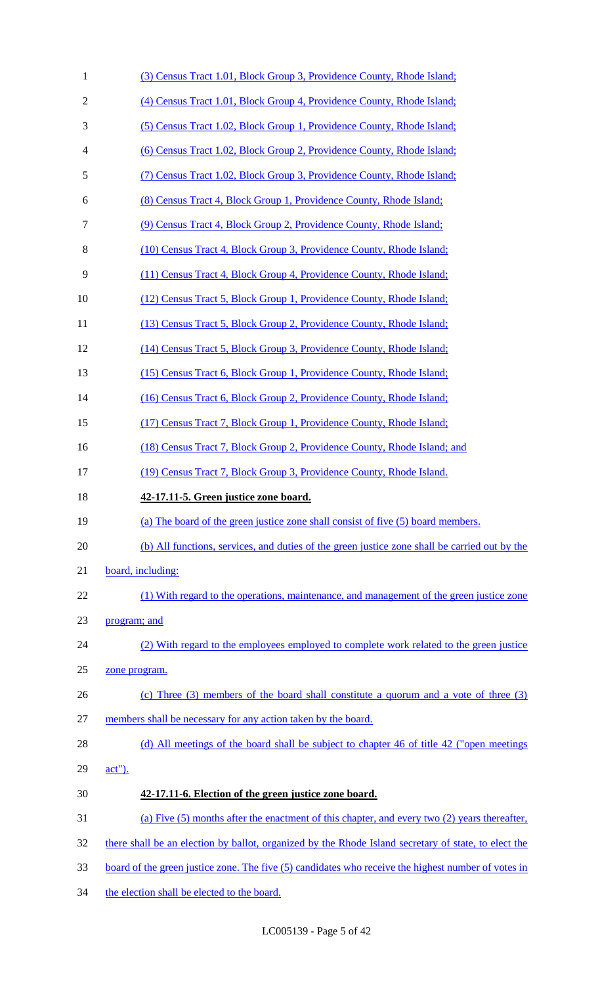| $\mathbf{1}$   | (3) Census Tract 1.01, Block Group 3, Providence County, Rhode Island;                                     |
|----------------|------------------------------------------------------------------------------------------------------------|
| $\mathfrak{2}$ | (4) Census Tract 1.01, Block Group 4, Providence County, Rhode Island;                                     |
| 3              | (5) Census Tract 1.02, Block Group 1, Providence County, Rhode Island;                                     |
| 4              | (6) Census Tract 1.02, Block Group 2, Providence County, Rhode Island;                                     |
| 5              | (7) Census Tract 1.02, Block Group 3, Providence County, Rhode Island;                                     |
| 6              | (8) Census Tract 4, Block Group 1, Providence County, Rhode Island;                                        |
| 7              | (9) Census Tract 4, Block Group 2, Providence County, Rhode Island;                                        |
| 8              | (10) Census Tract 4, Block Group 3, Providence County, Rhode Island;                                       |
| 9              | (11) Census Tract 4, Block Group 4, Providence County, Rhode Island;                                       |
| 10             | (12) Census Tract 5, Block Group 1, Providence County, Rhode Island;                                       |
| 11             | (13) Census Tract 5, Block Group 2, Providence County, Rhode Island;                                       |
| 12             | (14) Census Tract 5, Block Group 3, Providence County, Rhode Island;                                       |
| 13             | (15) Census Tract 6, Block Group 1, Providence County, Rhode Island;                                       |
| 14             | (16) Census Tract 6, Block Group 2, Providence County, Rhode Island;                                       |
| 15             | (17) Census Tract 7, Block Group 1, Providence County, Rhode Island;                                       |
| 16             | (18) Census Tract 7, Block Group 2, Providence County, Rhode Island; and                                   |
| 17             | (19) Census Tract 7, Block Group 3, Providence County, Rhode Island.                                       |
|                |                                                                                                            |
| 18             | 42-17.11-5. Green justice zone board.                                                                      |
| 19             | (a) The board of the green justice zone shall consist of five (5) board members.                           |
| 20             | (b) All functions, services, and duties of the green justice zone shall be carried out by the              |
| 21             | board, including:                                                                                          |
| 22             | (1) With regard to the operations, maintenance, and management of the green justice zone                   |
| 23             | program; and                                                                                               |
| 24             | (2) With regard to the employees employed to complete work related to the green justice                    |
| 25             | zone program.                                                                                              |
| 26             | (c) Three $(3)$ members of the board shall constitute a quorum and a vote of three $(3)$                   |
| 27             | members shall be necessary for any action taken by the board.                                              |
| 28             | (d) All meetings of the board shall be subject to chapter 46 of title 42 ("open meetings")                 |
| 29             | $act$ ").                                                                                                  |
| 30             | 42-17.11-6. Election of the green justice zone board.                                                      |
| 31             | (a) Five (5) months after the enactment of this chapter, and every two (2) years thereafter,               |
| 32             | there shall be an election by ballot, organized by the Rhode Island secretary of state, to elect the       |
| 33             | <u>board of the green justice zone. The five (5) candidates who receive the highest number of votes in</u> |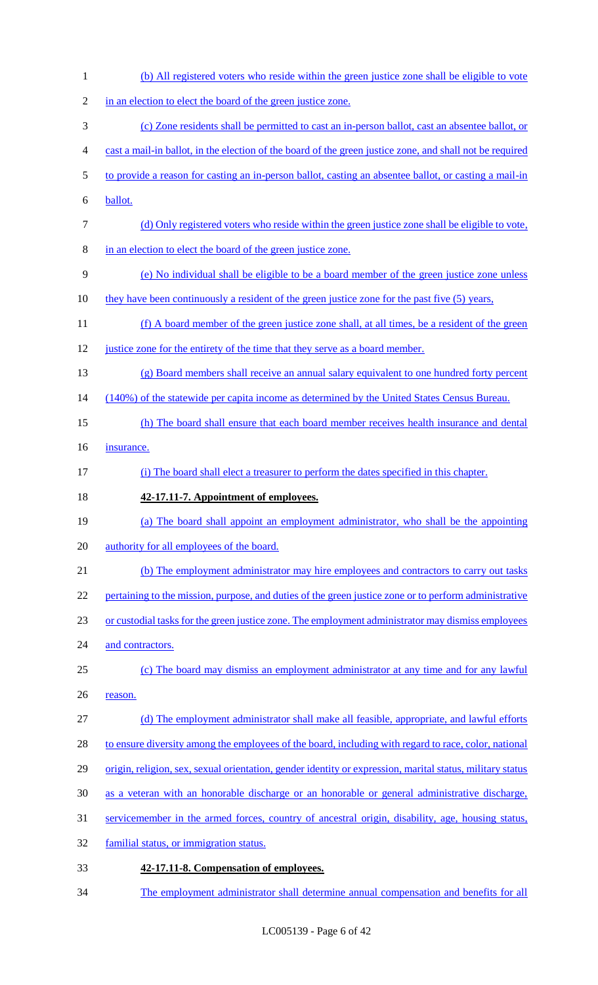- (b) All registered voters who reside within the green justice zone shall be eligible to vote 2 in an election to elect the board of the green justice zone. (c) Zone residents shall be permitted to cast an in-person ballot, cast an absentee ballot, or cast a mail-in ballot, in the election of the board of the green justice zone, and shall not be required to provide a reason for casting an in-person ballot, casting an absentee ballot, or casting a mail-in ballot. (d) Only registered voters who reside within the green justice zone shall be eligible to vote, in an election to elect the board of the green justice zone. (e) No individual shall be eligible to be a board member of the green justice zone unless they have been continuously a resident of the green justice zone for the past five (5) years, (f) A board member of the green justice zone shall, at all times, be a resident of the green 12 justice zone for the entirety of the time that they serve as a board member. (g) Board members shall receive an annual salary equivalent to one hundred forty percent 14 (140%) of the statewide per capita income as determined by the United States Census Bureau. (h) The board shall ensure that each board member receives health insurance and dental insurance. (i) The board shall elect a treasurer to perform the dates specified in this chapter. **42-17.11-7. Appointment of employees.** (a) The board shall appoint an employment administrator, who shall be the appointing 20 authority for all employees of the board. (b) The employment administrator may hire employees and contractors to carry out tasks 22 pertaining to the mission, purpose, and duties of the green justice zone or to perform administrative or custodial tasks for the green justice zone. The employment administrator may dismiss employees 24 and contractors. (c) The board may dismiss an employment administrator at any time and for any lawful 26 reason. (d) The employment administrator shall make all feasible, appropriate, and lawful efforts to ensure diversity among the employees of the board, including with regard to race, color, national origin, religion, sex, sexual orientation, gender identity or expression, marital status, military status as a veteran with an honorable discharge or an honorable or general administrative discharge, servicemember in the armed forces, country of ancestral origin, disability, age, housing status, familial status, or immigration status. **42-17.11-8. Compensation of employees.**
- The employment administrator shall determine annual compensation and benefits for all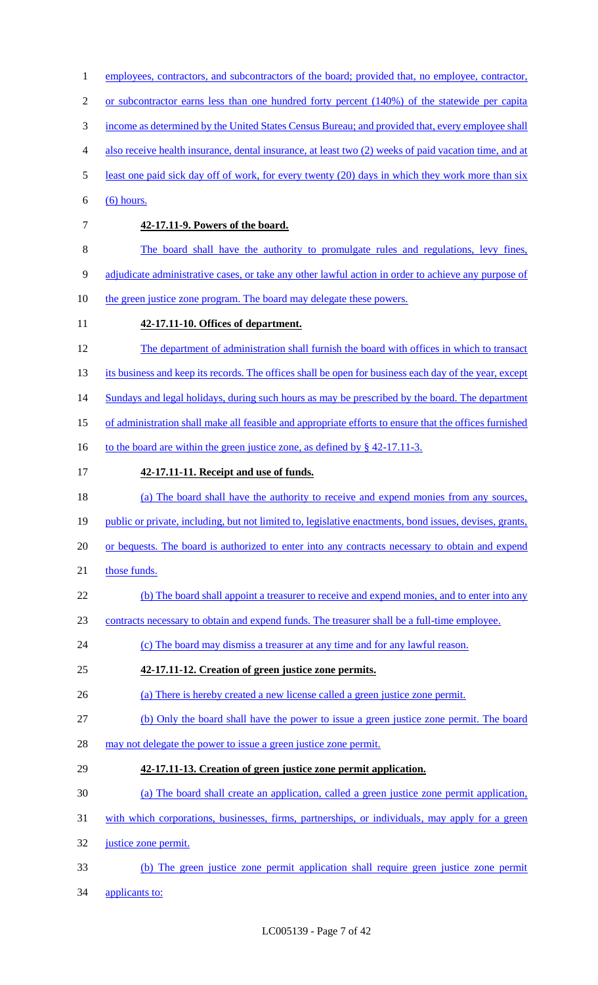| $\mathbf{1}$   | employees, contractors, and subcontractors of the board; provided that, no employee, contractor,        |
|----------------|---------------------------------------------------------------------------------------------------------|
| $\mathfrak{2}$ | or subcontractor earns less than one hundred forty percent (140%) of the statewide per capital          |
| 3              | income as determined by the United States Census Bureau; and provided that, every employee shall        |
| 4              | also receive health insurance, dental insurance, at least two (2) weeks of paid vacation time, and at   |
| 5              | least one paid sick day off of work, for every twenty (20) days in which they work more than six        |
| 6              | $(6)$ hours.                                                                                            |
| $\tau$         | 42-17.11-9. Powers of the board.                                                                        |
| $8\,$          | The board shall have the authority to promulgate rules and regulations, levy fines,                     |
| 9              | adjudicate administrative cases, or take any other lawful action in order to achieve any purpose of     |
| 10             | the green justice zone program. The board may delegate these powers.                                    |
| 11             | 42-17.11-10. Offices of department.                                                                     |
| 12             | The department of administration shall furnish the board with offices in which to transact              |
| 13             | its business and keep its records. The offices shall be open for business each day of the year, except  |
| 14             | Sundays and legal holidays, during such hours as may be prescribed by the board. The department         |
| 15             | of administration shall make all feasible and appropriate efforts to ensure that the offices furnished  |
| 16             | to the board are within the green justice zone, as defined by § 42-17.11-3.                             |
| 17             | 42-17.11-11. Receipt and use of funds.                                                                  |
| 18             | (a) The board shall have the authority to receive and expend monies from any sources,                   |
| 19             | public or private, including, but not limited to, legislative enactments, bond issues, devises, grants, |
| 20             | or bequests. The board is authorized to enter into any contracts necessary to obtain and expend         |
| 21             | those funds.                                                                                            |
| 22             | (b) The board shall appoint a treasurer to receive and expend monies, and to enter into any             |
| 23             | contracts necessary to obtain and expend funds. The treasurer shall be a full-time employee.            |
| 24             | (c) The board may dismiss a treasurer at any time and for any lawful reason.                            |
| 25             | 42-17.11-12. Creation of green justice zone permits.                                                    |
| 26             | (a) There is hereby created a new license called a green justice zone permit.                           |
| 27             | (b) Only the board shall have the power to issue a green justice zone permit. The board                 |
| 28             | may not delegate the power to issue a green justice zone permit.                                        |
| 29             | 42-17.11-13. Creation of green justice zone permit application.                                         |
| 30             | (a) The board shall create an application, called a green justice zone permit application,              |
| 31             | with which corporations, businesses, firms, partnerships, or individuals, may apply for a green         |
| 32             | justice zone permit.                                                                                    |
| 33             | (b) The green justice zone permit application shall require green justice zone permit                   |
| 34             | applicants to:                                                                                          |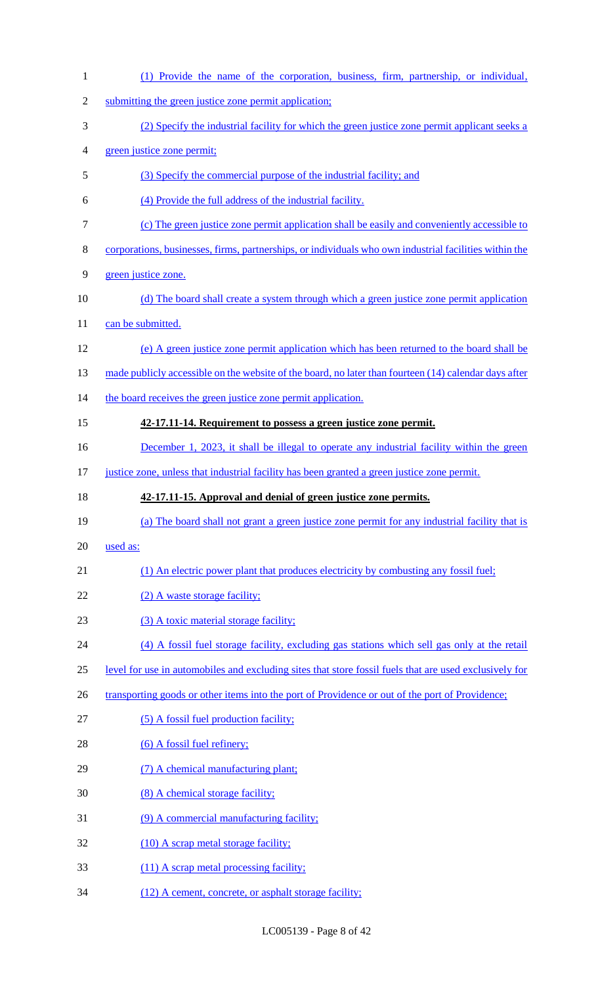| $\mathbf{1}$   | (1) Provide the name of the corporation, business, firm, partnership, or individual,                   |
|----------------|--------------------------------------------------------------------------------------------------------|
| $\mathfrak{2}$ | submitting the green justice zone permit application;                                                  |
| 3              | (2) Specify the industrial facility for which the green justice zone permit applicant seeks a          |
| 4              | green justice zone permit;                                                                             |
| 5              | (3) Specify the commercial purpose of the industrial facility; and                                     |
| 6              | (4) Provide the full address of the industrial facility.                                               |
| $\tau$         | (c) The green justice zone permit application shall be easily and conveniently accessible to           |
| $8\,$          | corporations, businesses, firms, partnerships, or individuals who own industrial facilities within the |
| 9              | green justice zone.                                                                                    |
| 10             | (d) The board shall create a system through which a green justice zone permit application              |
| 11             | can be submitted.                                                                                      |
| 12             | (e) A green justice zone permit application which has been returned to the board shall be              |
| 13             | made publicly accessible on the website of the board, no later than fourteen (14) calendar days after  |
| 14             | the board receives the green justice zone permit application.                                          |
| 15             | 42-17.11-14. Requirement to possess a green justice zone permit.                                       |
| 16             | December 1, 2023, it shall be illegal to operate any industrial facility within the green              |
| 17             | justice zone, unless that industrial facility has been granted a green justice zone permit.            |
|                |                                                                                                        |
| 18             | 42-17.11-15. Approval and denial of green justice zone permits.                                        |
| 19             | (a) The board shall not grant a green justice zone permit for any industrial facility that is          |
| 20             | used as:                                                                                               |
| 21             | (1) An electric power plant that produces electricity by combusting any fossil fuel;                   |
| 22             | (2) A waste storage facility;                                                                          |
| 23             | (3) A toxic material storage facility;                                                                 |
| 24             | (4) A fossil fuel storage facility, excluding gas stations which sell gas only at the retail           |
| 25             | level for use in automobiles and excluding sites that store fossil fuels that are used exclusively for |
| 26             | transporting goods or other items into the port of Providence or out of the port of Providence;        |
| 27             | (5) A fossil fuel production facility;                                                                 |
| 28             | $(6)$ A fossil fuel refinery;                                                                          |
| 29             | (7) A chemical manufacturing plant;                                                                    |
| 30             | (8) A chemical storage facility;                                                                       |
| 31             | (9) A commercial manufacturing facility;                                                               |
| 32             | (10) A scrap metal storage facility;                                                                   |
| 33             | (11) A scrap metal processing facility;                                                                |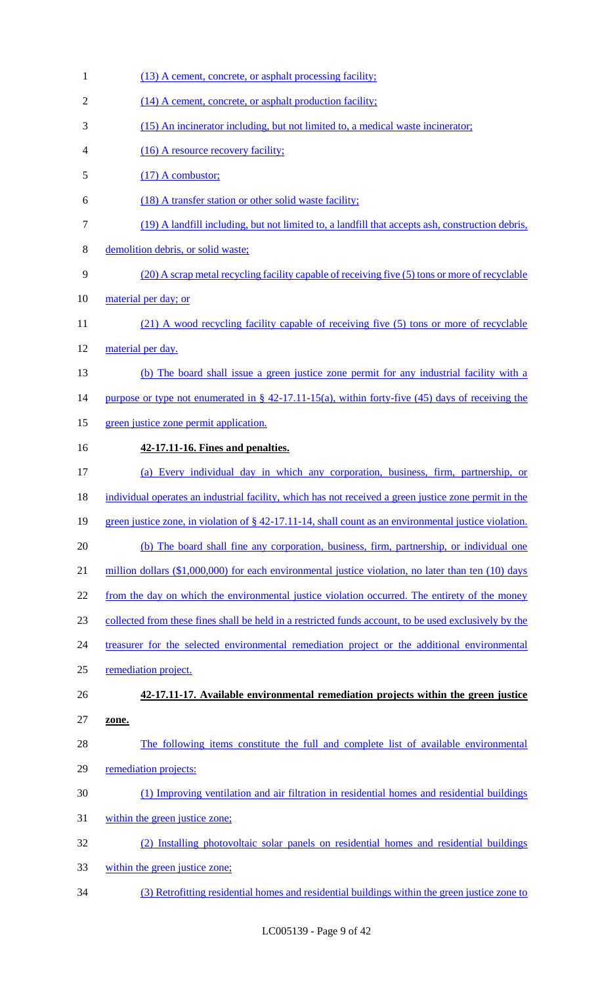1 (13) A cement, concrete, or asphalt processing facility; 2 (14) A cement, concrete, or asphalt production facility; (15) An incinerator including, but not limited to, a medical waste incinerator; 4 (16) A resource recovery facility; 5 (17) A combustor; (18) A transfer station or other solid waste facility; (19) A landfill including, but not limited to, a landfill that accepts ash, construction debris, demolition debris, or solid waste; (20) A scrap metal recycling facility capable of receiving five (5) tons or more of recyclable 10 material per day; or 11 (21) A wood recycling facility capable of receiving five (5) tons or more of recyclable 12 material per day. (b) The board shall issue a green justice zone permit for any industrial facility with a 14 purpose or type not enumerated in § 42-17.11-15(a), within forty-five (45) days of receiving the green justice zone permit application. **42-17.11-16. Fines and penalties.** (a) Every individual day in which any corporation, business, firm, partnership, or individual operates an industrial facility, which has not received a green justice zone permit in the green justice zone, in violation of § 42-17.11-14, shall count as an environmental justice violation. (b) The board shall fine any corporation, business, firm, partnership, or individual one 21 million dollars (\$1,000,000) for each environmental justice violation, no later than ten (10) days 22 from the day on which the environmental justice violation occurred. The entirety of the money collected from these fines shall be held in a restricted funds account, to be used exclusively by the 24 treasurer for the selected environmental remediation project or the additional environmental remediation project. **42-17.11-17. Available environmental remediation projects within the green justice zone.** The following items constitute the full and complete list of available environmental remediation projects: (1) Improving ventilation and air filtration in residential homes and residential buildings within the green justice zone; (2) Installing photovoltaic solar panels on residential homes and residential buildings within the green justice zone; (3) Retrofitting residential homes and residential buildings within the green justice zone to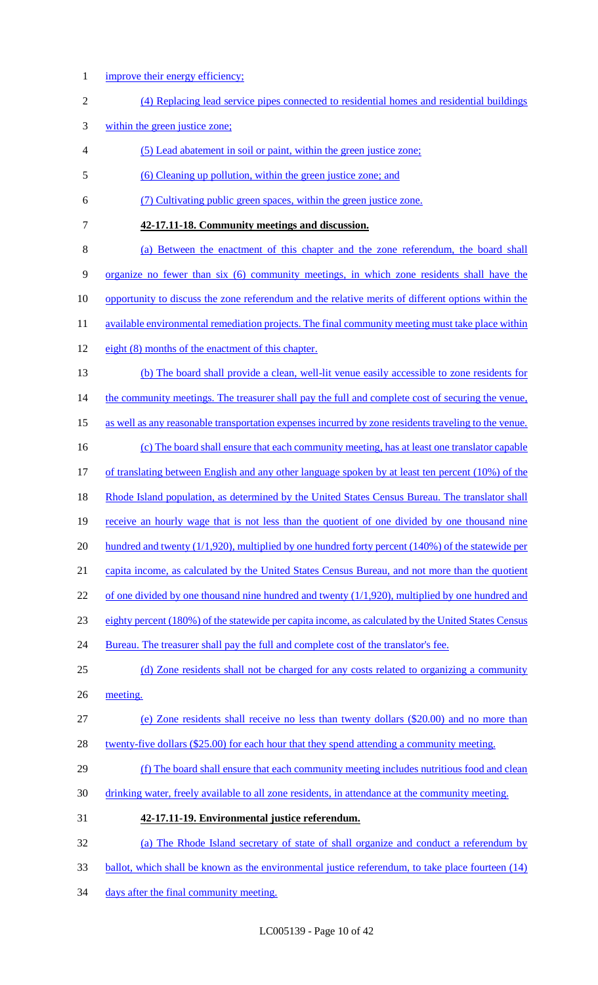1 improve their energy efficiency;

| $\mathbf{2}$   | (4) Replacing lead service pipes connected to residential homes and residential buildings                |
|----------------|----------------------------------------------------------------------------------------------------------|
| 3              | within the green justice zone;                                                                           |
| $\overline{4}$ | (5) Lead abatement in soil or paint, within the green justice zone;                                      |
| 5              | (6) Cleaning up pollution, within the green justice zone; and                                            |
| 6              | (7) Cultivating public green spaces, within the green justice zone.                                      |
| 7              | 42-17.11-18. Community meetings and discussion.                                                          |
| 8              | (a) Between the enactment of this chapter and the zone referendum, the board shall                       |
| 9              | organize no fewer than six (6) community meetings, in which zone residents shall have the                |
| 10             | opportunity to discuss the zone referendum and the relative merits of different options within the       |
| 11             | available environmental remediation projects. The final community meeting must take place within         |
| 12             | eight (8) months of the enactment of this chapter.                                                       |
| 13             | (b) The board shall provide a clean, well-lit venue easily accessible to zone residents for              |
| 14             | the community meetings. The treasurer shall pay the full and complete cost of securing the venue,        |
| 15             | as well as any reasonable transportation expenses incurred by zone residents traveling to the venue.     |
| 16             | (c) The board shall ensure that each community meeting, has at least one translator capable              |
| 17             | of translating between English and any other language spoken by at least ten percent $(10\%)$ of the     |
| 18             | Rhode Island population, as determined by the United States Census Bureau. The translator shall          |
| 19             | receive an hourly wage that is not less than the quotient of one divided by one thousand nine            |
| 20             | hundred and twenty $(1/1, 920)$ , multiplied by one hundred forty percent $(140\%)$ of the statewide per |
| 21             | capita income, as calculated by the United States Census Bureau, and not more than the quotient          |
| 22             | of one divided by one thousand nine hundred and twenty $(1/1,920)$ , multiplied by one hundred and       |
| 23             | eighty percent (180%) of the statewide per capita income, as calculated by the United States Census      |
| 24             | Bureau. The treasurer shall pay the full and complete cost of the translator's fee.                      |
| 25             | (d) Zone residents shall not be charged for any costs related to organizing a community                  |
| 26             | meeting.                                                                                                 |
| 27             | (e) Zone residents shall receive no less than twenty dollars (\$20.00) and no more than                  |
| 28             | twenty-five dollars (\$25.00) for each hour that they spend attending a community meeting.               |
| 29             | (f) The board shall ensure that each community meeting includes nutritious food and clean                |
| 30             | drinking water, freely available to all zone residents, in attendance at the community meeting.          |
| 31             | 42-17.11-19. Environmental justice referendum.                                                           |
| 32             | (a) The Rhode Island secretary of state of shall organize and conduct a referendum by                    |
| 33             | ballot, which shall be known as the environmental justice referendum, to take place fourteen (14)        |

34 days after the final community meeting.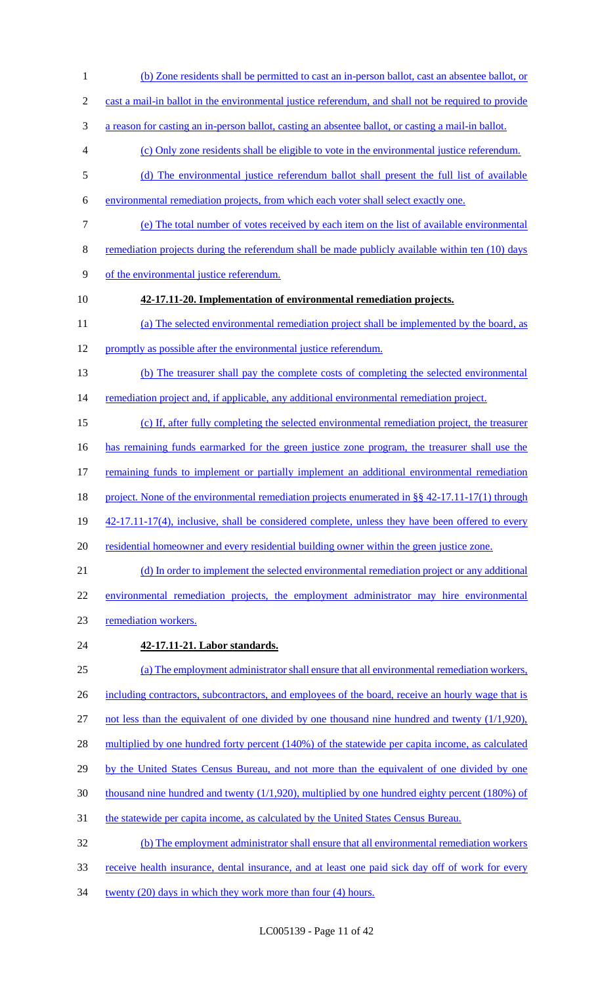- (b) Zone residents shall be permitted to cast an in-person ballot, cast an absentee ballot, or cast a mail-in ballot in the environmental justice referendum, and shall not be required to provide a reason for casting an in-person ballot, casting an absentee ballot, or casting a mail-in ballot. (c) Only zone residents shall be eligible to vote in the environmental justice referendum. (d) The environmental justice referendum ballot shall present the full list of available environmental remediation projects, from which each voter shall select exactly one. (e) The total number of votes received by each item on the list of available environmental remediation projects during the referendum shall be made publicly available within ten (10) days of the environmental justice referendum. **42-17.11-20. Implementation of environmental remediation projects.** (a) The selected environmental remediation project shall be implemented by the board, as promptly as possible after the environmental justice referendum. (b) The treasurer shall pay the complete costs of completing the selected environmental 14 remediation project and, if applicable, any additional environmental remediation project. (c) If, after fully completing the selected environmental remediation project, the treasurer has remaining funds earmarked for the green justice zone program, the treasurer shall use the remaining funds to implement or partially implement an additional environmental remediation 18 project. None of the environmental remediation projects enumerated in §§ 42-17.11-17(1) through 19 42-17.11-17(4), inclusive, shall be considered complete, unless they have been offered to every residential homeowner and every residential building owner within the green justice zone. 21 (d) In order to implement the selected environmental remediation project or any additional environmental remediation projects, the employment administrator may hire environmental remediation workers. **42-17.11-21. Labor standards.** 25 (a) The employment administrator shall ensure that all environmental remediation workers, 26 including contractors, subcontractors, and employees of the board, receive an hourly wage that is not less than the equivalent of one divided by one thousand nine hundred and twenty (1/1,920), 28 multiplied by one hundred forty percent (140%) of the statewide per capita income, as calculated 29 by the United States Census Bureau, and not more than the equivalent of one divided by one thousand nine hundred and twenty (1/1,920), multiplied by one hundred eighty percent (180%) of the statewide per capita income, as calculated by the United States Census Bureau. (b) The employment administrator shall ensure that all environmental remediation workers receive health insurance, dental insurance, and at least one paid sick day off of work for every
- 34 twenty (20) days in which they work more than four (4) hours.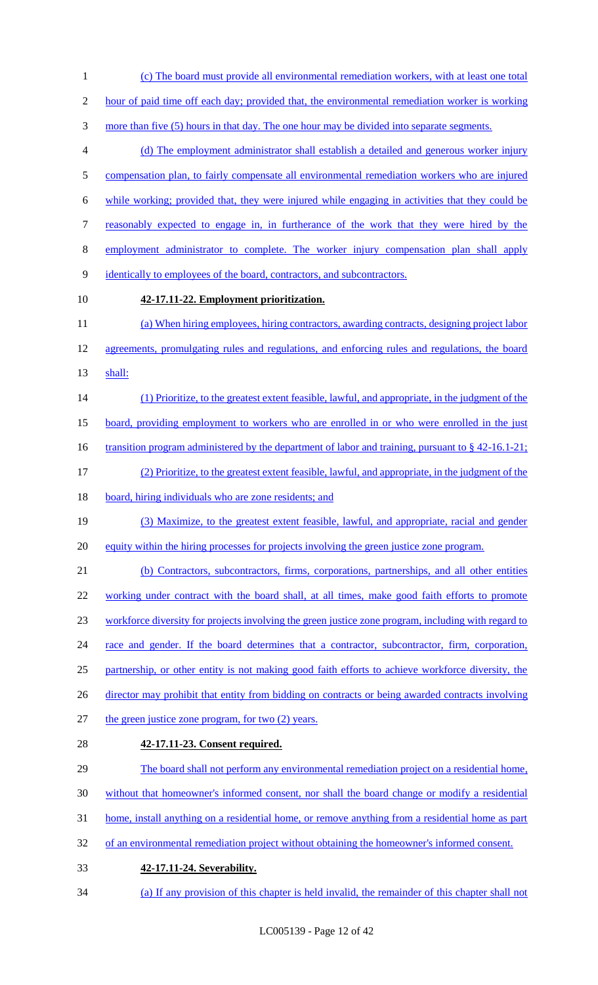(c) The board must provide all environmental remediation workers, with at least one total

hour of paid time off each day; provided that, the environmental remediation worker is working

more than five (5) hours in that day. The one hour may be divided into separate segments.

 (d) The employment administrator shall establish a detailed and generous worker injury 5 compensation plan, to fairly compensate all environmental remediation workers who are injured while working; provided that, they were injured while engaging in activities that they could be reasonably expected to engage in, in furtherance of the work that they were hired by the

employment administrator to complete. The worker injury compensation plan shall apply

- identically to employees of the board, contractors, and subcontractors.
- 

# **42-17.11-22. Employment prioritization.**

11 (a) When hiring employees, hiring contractors, awarding contracts, designing project labor 12 agreements, promulgating rules and regulations, and enforcing rules and regulations, the board shall:

(1) Prioritize, to the greatest extent feasible, lawful, and appropriate, in the judgment of the

board, providing employment to workers who are enrolled in or who were enrolled in the just

16 transition program administered by the department of labor and training, pursuant to § 42-16.1-21;

(2) Prioritize, to the greatest extent feasible, lawful, and appropriate, in the judgment of the

18 board, hiring individuals who are zone residents; and

 (3) Maximize, to the greatest extent feasible, lawful, and appropriate, racial and gender equity within the hiring processes for projects involving the green justice zone program.

21 (b) Contractors, subcontractors, firms, corporations, partnerships, and all other entities

22 working under contract with the board shall, at all times, make good faith efforts to promote

workforce diversity for projects involving the green justice zone program, including with regard to

24 race and gender. If the board determines that a contractor, subcontractor, firm, corporation,

25 partnership, or other entity is not making good faith efforts to achieve workforce diversity, the

26 director may prohibit that entity from bidding on contracts or being awarded contracts involving

- the green justice zone program, for two (2) years.
- 

# **42-17.11-23. Consent required.**

29 The board shall not perform any environmental remediation project on a residential home,

without that homeowner's informed consent, nor shall the board change or modify a residential

home, install anything on a residential home, or remove anything from a residential home as part

- 32 of an environmental remediation project without obtaining the homeowner's informed consent.
- **42-17.11-24. Severability.**

(a) If any provision of this chapter is held invalid, the remainder of this chapter shall not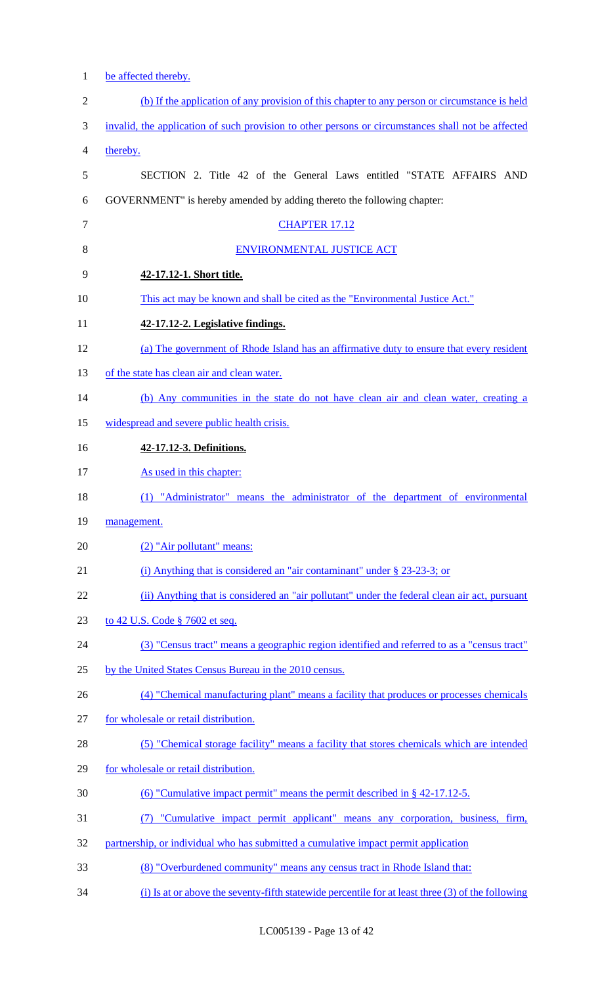| $\mathbf{1}$   | be affected thereby.                                                                               |
|----------------|----------------------------------------------------------------------------------------------------|
| $\overline{c}$ | (b) If the application of any provision of this chapter to any person or circumstance is held      |
| 3              | invalid, the application of such provision to other persons or circumstances shall not be affected |
| 4              | thereby.                                                                                           |
| 5              | SECTION 2. Title 42 of the General Laws entitled "STATE AFFAIRS AND                                |
| 6              | GOVERNMENT" is hereby amended by adding thereto the following chapter:                             |
| $\tau$         | <b>CHAPTER 17.12</b>                                                                               |
| 8              | <b>ENVIRONMENTAL JUSTICE ACT</b>                                                                   |
| 9              | 42-17.12-1. Short title.                                                                           |
| 10             | This act may be known and shall be cited as the "Environmental Justice Act."                       |
| 11             | 42-17.12-2. Legislative findings.                                                                  |
| 12             | (a) The government of Rhode Island has an affirmative duty to ensure that every resident           |
| 13             | of the state has clean air and clean water.                                                        |
| 14             | (b) Any communities in the state do not have clean air and clean water, creating a                 |
| 15             | widespread and severe public health crisis.                                                        |
| 16             | 42-17.12-3. Definitions.                                                                           |
| 17             | As used in this chapter:                                                                           |
| 18             | (1) "Administrator" means the administrator of the department of environmental                     |
| 19             | management.                                                                                        |
| 20             | (2) "Air pollutant" means:                                                                         |
| 21             | (i) Anything that is considered an "air contaminant" under $\S$ 23-23-3; or                        |
| 22             | (ii) Anything that is considered an "air pollutant" under the federal clean air act, pursuant      |
| 23             | to 42 U.S. Code § 7602 et seq.                                                                     |
| 24             | (3) "Census tract" means a geographic region identified and referred to as a "census tract"        |
| 25             | by the United States Census Bureau in the 2010 census.                                             |
| 26             | (4) "Chemical manufacturing plant" means a facility that produces or processes chemicals           |
| 27             | for wholesale or retail distribution.                                                              |
| 28             | (5) "Chemical storage facility" means a facility that stores chemicals which are intended          |
| 29             | for wholesale or retail distribution.                                                              |
| 30             | (6) "Cumulative impact permit" means the permit described in $\S$ 42-17.12-5.                      |
| 31             | "Cumulative impact permit applicant" means any corporation, business, firm,<br>(7)                 |
| 32             | partnership, or individual who has submitted a cumulative impact permit application                |
| 33             | (8) "Overburdened community" means any census tract in Rhode Island that:                          |
| 34             | (i) Is at or above the seventy-fifth statewide percentile for at least three (3) of the following  |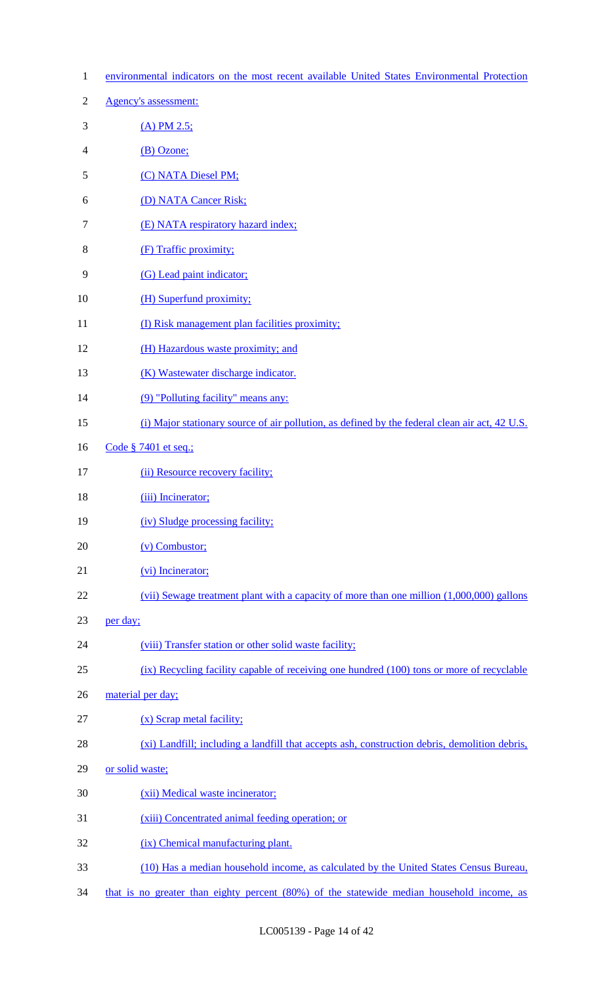| $\mathbf{1}$   | environmental indicators on the most recent available United States Environmental Protection   |
|----------------|------------------------------------------------------------------------------------------------|
| $\overline{2}$ | <b>Agency's assessment:</b>                                                                    |
| 3              | $(A)$ PM 2.5;                                                                                  |
| $\overline{4}$ | (B) Ozone;                                                                                     |
| 5              | (C) NATA Diesel PM;                                                                            |
| 6              | (D) NATA Cancer Risk;                                                                          |
| 7              | (E) NATA respiratory hazard index;                                                             |
| 8              | (F) Traffic proximity;                                                                         |
| 9              | (G) Lead paint indicator;                                                                      |
| 10             | (H) Superfund proximity;                                                                       |
| 11             | (I) Risk management plan facilities proximity;                                                 |
| 12             | (H) Hazardous waste proximity; and                                                             |
| 13             | (K) Wastewater discharge indicator.                                                            |
| 14             | (9) "Polluting facility" means any:                                                            |
| 15             | (i) Major stationary source of air pollution, as defined by the federal clean air act, 42 U.S. |
| 16             | Code § 7401 et seq.;                                                                           |
| 17             | (ii) Resource recovery facility;                                                               |
| 18             | (iii) Incinerator;                                                                             |
| 19             | (iv) Sludge processing facility;                                                               |
| 20             | $(v)$ Combustor;                                                                               |
| 21             | (vi) Incinerator;                                                                              |
| 22             | $(vii)$ Sewage treatment plant with a capacity of more than one million $(1,000,000)$ gallons  |
| 23             | per day;                                                                                       |
| 24             | (viii) Transfer station or other solid waste facility;                                         |
| 25             | (ix) Recycling facility capable of receiving one hundred (100) tons or more of recyclable      |
| 26             | material per day;                                                                              |
| 27             | (x) Scrap metal facility;                                                                      |
| 28             | (xi) Landfill; including a landfill that accepts ash, construction debris, demolition debris,  |
| 29             | or solid waste;                                                                                |
| 30             | (xii) Medical waste incinerator;                                                               |
| 31             | (xiii) Concentrated animal feeding operation; or                                               |
| 32             | (ix) Chemical manufacturing plant.                                                             |
| 33             | (10) Has a median household income, as calculated by the United States Census Bureau,          |
| 34             | that is no greater than eighty percent (80%) of the statewide median household income, as      |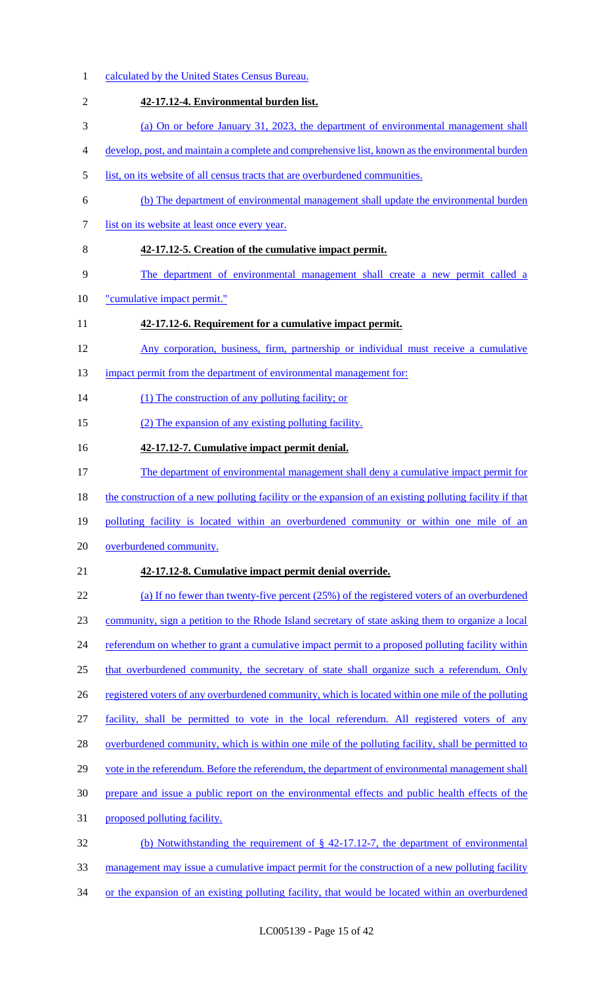calculated by the United States Census Bureau. **42-17.12-4. Environmental burden list.**  (a) On or before January 31, 2023, the department of environmental management shall develop, post, and maintain a complete and comprehensive list, known as the environmental burden 5 list, on its website of all census tracts that are overburdened communities. (b) The department of environmental management shall update the environmental burden list on its website at least once every year. **42-17.12-5. Creation of the cumulative impact permit.**  The department of environmental management shall create a new permit called a 10 "cumulative impact permit." **42-17.12-6. Requirement for a cumulative impact permit.**  Any corporation, business, firm, partnership or individual must receive a cumulative 13 impact permit from the department of environmental management for: 14 (1) The construction of any polluting facility; or (2) The expansion of any existing polluting facility. **42-17.12-7. Cumulative impact permit denial.**  The department of environmental management shall deny a cumulative impact permit for 18 the construction of a new polluting facility or the expansion of an existing polluting facility if that polluting facility is located within an overburdened community or within one mile of an overburdened community. **42-17.12-8. Cumulative impact permit denial override.**  (a) If no fewer than twenty-five percent (25%) of the registered voters of an overburdened community, sign a petition to the Rhode Island secretary of state asking them to organize a local 24 referendum on whether to grant a cumulative impact permit to a proposed polluting facility within 25 that overburdened community, the secretary of state shall organize such a referendum. Only 26 registered voters of any overburdened community, which is located within one mile of the polluting facility, shall be permitted to vote in the local referendum. All registered voters of any 28 overburdened community, which is within one mile of the polluting facility, shall be permitted to 29 vote in the referendum. Before the referendum, the department of environmental management shall prepare and issue a public report on the environmental effects and public health effects of the proposed polluting facility. (b) Notwithstanding the requirement of § 42-17.12-7, the department of environmental 33 management may issue a cumulative impact permit for the construction of a new polluting facility or the expansion of an existing polluting facility, that would be located within an overburdened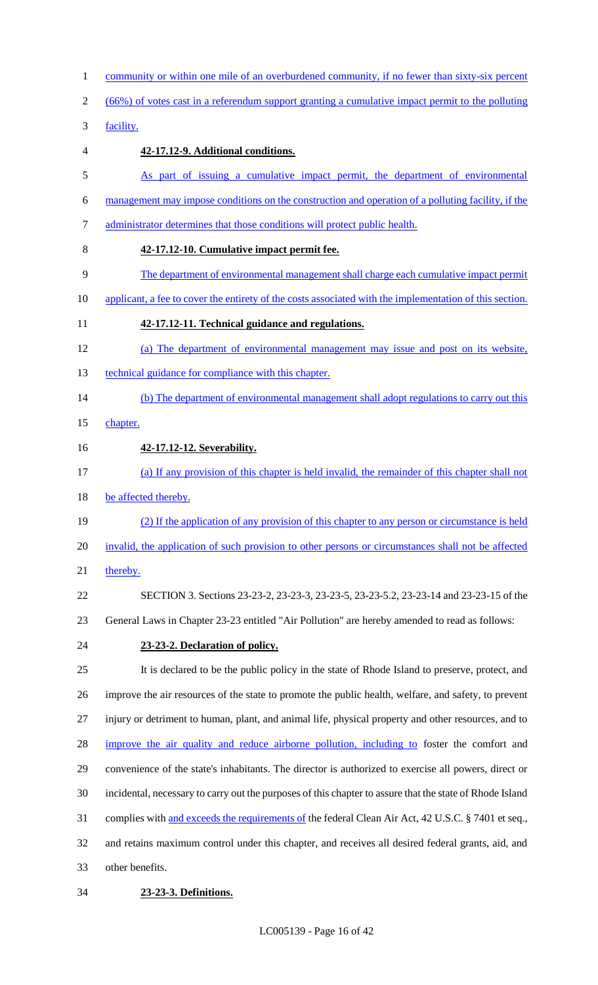community or within one mile of an overburdened community, if no fewer than sixty-six percent (66%) of votes cast in a referendum support granting a cumulative impact permit to the polluting facility. **42-17.12-9. Additional conditions.**  As part of issuing a cumulative impact permit, the department of environmental management may impose conditions on the construction and operation of a polluting facility, if the administrator determines that those conditions will protect public health. **42-17.12-10. Cumulative impact permit fee.**  The department of environmental management shall charge each cumulative impact permit 10 applicant, a fee to cover the entirety of the costs associated with the implementation of this section. **42-17.12-11. Technical guidance and regulations.**  (a) The department of environmental management may issue and post on its website, 13 technical guidance for compliance with this chapter. 14 (b) The department of environmental management shall adopt regulations to carry out this 15 chapter. **42-17.12-12. Severability.**  (a) If any provision of this chapter is held invalid, the remainder of this chapter shall not 18 be affected thereby. (2) If the application of any provision of this chapter to any person or circumstance is held invalid, the application of such provision to other persons or circumstances shall not be affected 21 thereby. SECTION 3. Sections 23-23-2, 23-23-3, 23-23-5, 23-23-5.2, 23-23-14 and 23-23-15 of the General Laws in Chapter 23-23 entitled "Air Pollution" are hereby amended to read as follows: **23-23-2. Declaration of policy.** It is declared to be the public policy in the state of Rhode Island to preserve, protect, and improve the air resources of the state to promote the public health, welfare, and safety, to prevent injury or detriment to human, plant, and animal life, physical property and other resources, and to 28 improve the air quality and reduce airborne pollution, including to foster the comfort and convenience of the state's inhabitants. The director is authorized to exercise all powers, direct or incidental, necessary to carry out the purposes of this chapter to assure that the state of Rhode Island complies with and exceeds the requirements of the federal Clean Air Act, 42 U.S.C. § 7401 et seq., and retains maximum control under this chapter, and receives all desired federal grants, aid, and other benefits.

#### **23-23-3. Definitions.**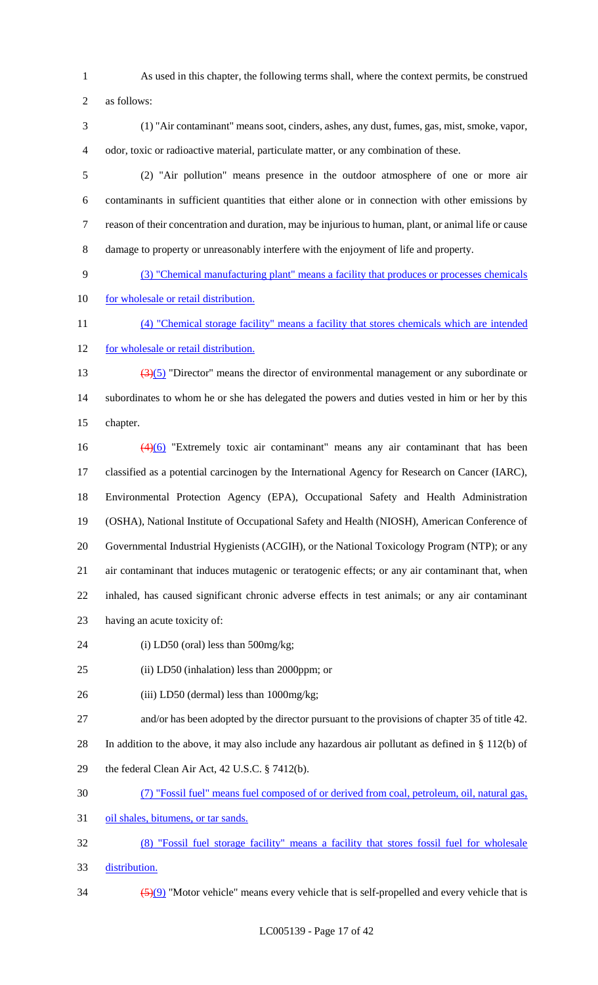As used in this chapter, the following terms shall, where the context permits, be construed

as follows:

 (1) "Air contaminant" means soot, cinders, ashes, any dust, fumes, gas, mist, smoke, vapor, odor, toxic or radioactive material, particulate matter, or any combination of these.

- (2) "Air pollution" means presence in the outdoor atmosphere of one or more air contaminants in sufficient quantities that either alone or in connection with other emissions by reason of their concentration and duration, may be injurious to human, plant, or animal life or cause damage to property or unreasonably interfere with the enjoyment of life and property.
- (3) "Chemical manufacturing plant" means a facility that produces or processes chemicals 10 for wholesale or retail distribution.
- (4) "Chemical storage facility" means a facility that stores chemicals which are intended for wholesale or retail distribution.
- (3)(5) "Director" means the director of environmental management or any subordinate or subordinates to whom he or she has delegated the powers and duties vested in him or her by this chapter.
- (4)(6) "Extremely toxic air contaminant" means any air contaminant that has been classified as a potential carcinogen by the International Agency for Research on Cancer (IARC), Environmental Protection Agency (EPA), Occupational Safety and Health Administration (OSHA), National Institute of Occupational Safety and Health (NIOSH), American Conference of Governmental Industrial Hygienists (ACGIH), or the National Toxicology Program (NTP); or any air contaminant that induces mutagenic or teratogenic effects; or any air contaminant that, when inhaled, has caused significant chronic adverse effects in test animals; or any air contaminant having an acute toxicity of:
- 24 (i) LD50 (oral) less than 500mg/kg;

(ii) LD50 (inhalation) less than 2000ppm; or

- 26 (iii) LD50 (dermal) less than 1000mg/kg;
- and/or has been adopted by the director pursuant to the provisions of chapter 35 of title 42.

In addition to the above, it may also include any hazardous air pollutant as defined in § 112(b) of

- the federal Clean Air Act, 42 U.S.C. § 7412(b).
- (7) "Fossil fuel" means fuel composed of or derived from coal, petroleum, oil, natural gas,

31 oil shales, bitumens, or tar sands.

- (8) "Fossil fuel storage facility" means a facility that stores fossil fuel for wholesale
- distribution.
- $\frac{(5)(9)}{8}$  "Motor vehicle" means every vehicle that is self-propelled and every vehicle that is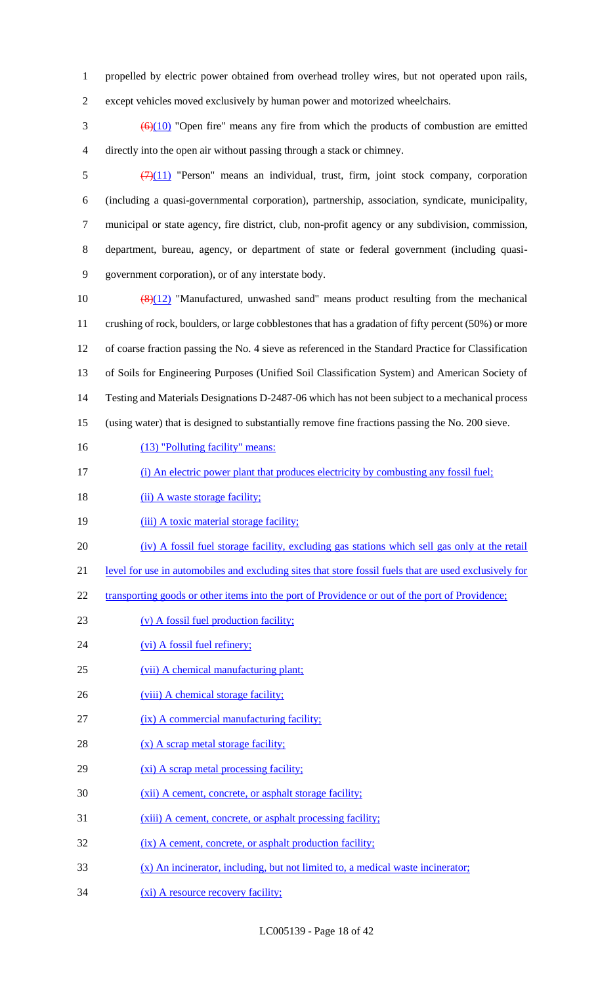1 propelled by electric power obtained from overhead trolley wires, but not operated upon rails,

2 except vehicles moved exclusively by human power and motorized wheelchairs.

 $\frac{66(10)}{20}$  "Open fire" means any fire from which the products of combustion are emitted 4 directly into the open air without passing through a stack or chimney.

 $\frac{(7)(11)}{2}$  "Person" means an individual, trust, firm, joint stock company, corporation (including a quasi-governmental corporation), partnership, association, syndicate, municipality, municipal or state agency, fire district, club, non-profit agency or any subdivision, commission, department, bureau, agency, or department of state or federal government (including quasi-government corporation), or of any interstate body.

 (8)(12) "Manufactured, unwashed sand" means product resulting from the mechanical crushing of rock, boulders, or large cobblestones that has a gradation of fifty percent (50%) or more of coarse fraction passing the No. 4 sieve as referenced in the Standard Practice for Classification of Soils for Engineering Purposes (Unified Soil Classification System) and American Society of Testing and Materials Designations D-2487-06 which has not been subject to a mechanical process (using water) that is designed to substantially remove fine fractions passing the No. 200 sieve.

- 16 (13) "Polluting facility" means:
- 17 (i) An electric power plant that produces electricity by combusting any fossil fuel;
- 18 (ii) A waste storage facility;
- 19 (iii) A toxic material storage facility;
- 20 (iv) A fossil fuel storage facility, excluding gas stations which sell gas only at the retail
- 21 level for use in automobiles and excluding sites that store fossil fuels that are used exclusively for
- 22 transporting goods or other items into the port of Providence or out of the port of Providence;
- 23 (v) A fossil fuel production facility;
- 24 (vi) A fossil fuel refinery;
- 25 (vii) A chemical manufacturing plant;
- 26 (viii) A chemical storage facility;
- 27 (ix) A commercial manufacturing facility;
- 28 (x) A scrap metal storage facility;
- 29 (xi) A scrap metal processing facility;
- 30 (xii) A cement, concrete, or asphalt storage facility;
- 31 (xiii) A cement, concrete, or asphalt processing facility;
- 32 (ix) A cement, concrete, or asphalt production facility;
- 33 (x) An incinerator, including, but not limited to, a medical waste incinerator;
- 34 (xi) A resource recovery facility;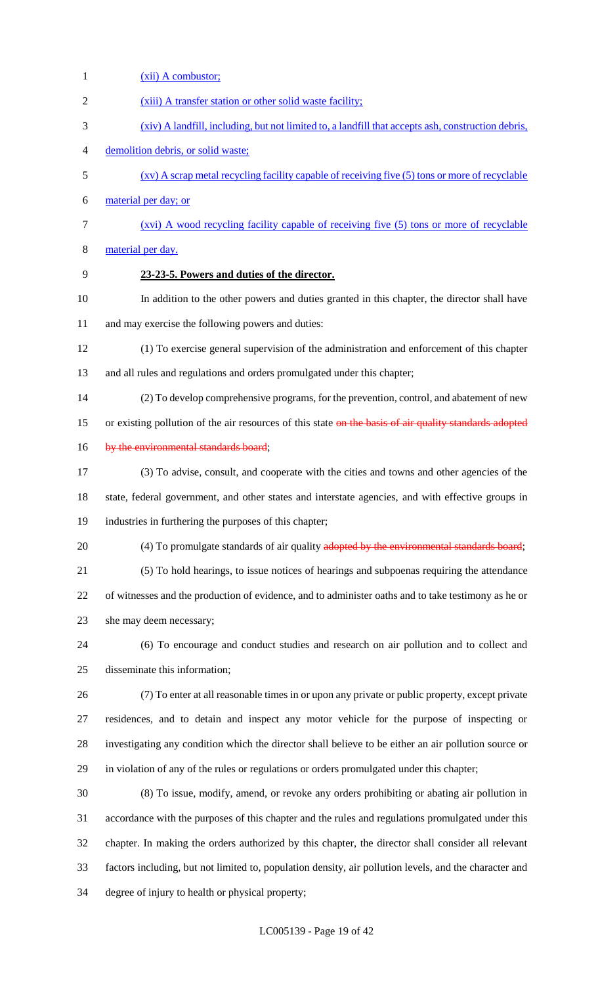| $\mathbf{1}$ | $(xii)$ A combustor;                                                                                   |
|--------------|--------------------------------------------------------------------------------------------------------|
| 2            | (xiii) A transfer station or other solid waste facility;                                               |
| 3            | (xiv) A landfill, including, but not limited to, a landfill that accepts ash, construction debris,     |
| 4            | demolition debris, or solid waste;                                                                     |
| 5            | $(xy)$ A scrap metal recycling facility capable of receiving five $(5)$ tons or more of recyclable     |
| 6            | material per day; or                                                                                   |
| 7            | (xvi) A wood recycling facility capable of receiving five (5) tons or more of recyclable               |
| 8            | material per day.                                                                                      |
| 9            | 23-23-5. Powers and duties of the director.                                                            |
| 10           | In addition to the other powers and duties granted in this chapter, the director shall have            |
| 11           | and may exercise the following powers and duties:                                                      |
| 12           | (1) To exercise general supervision of the administration and enforcement of this chapter              |
| 13           | and all rules and regulations and orders promulgated under this chapter;                               |
| 14           | (2) To develop comprehensive programs, for the prevention, control, and abatement of new               |
| 15           | or existing pollution of the air resources of this state on the basis of air quality standards adopted |
| 16           | by the environmental standards board;                                                                  |
| 17           | (3) To advise, consult, and cooperate with the cities and towns and other agencies of the              |
| 18           | state, federal government, and other states and interstate agencies, and with effective groups in      |
| 19           | industries in furthering the purposes of this chapter;                                                 |
| 20           | (4) To promulgate standards of air quality adopted by the environmental standards board;               |
| 21           | (5) To hold hearings, to issue notices of hearings and subpoenas requiring the attendance              |
| 22           | of witnesses and the production of evidence, and to administer oaths and to take testimony as he or    |
| 23           | she may deem necessary;                                                                                |
| 24           | (6) To encourage and conduct studies and research on air pollution and to collect and                  |
| 25           | disseminate this information;                                                                          |
| 26           | (7) To enter at all reasonable times in or upon any private or public property, except private         |
| 27           | residences, and to detain and inspect any motor vehicle for the purpose of inspecting or               |
| 28           | investigating any condition which the director shall believe to be either an air pollution source or   |
| 29           | in violation of any of the rules or regulations or orders promulgated under this chapter;              |
| 30           | (8) To issue, modify, amend, or revoke any orders prohibiting or abating air pollution in              |
| 31           | accordance with the purposes of this chapter and the rules and regulations promulgated under this      |
| 32           | chapter. In making the orders authorized by this chapter, the director shall consider all relevant     |
| 33           | factors including, but not limited to, population density, air pollution levels, and the character and |
| 34           | degree of injury to health or physical property;                                                       |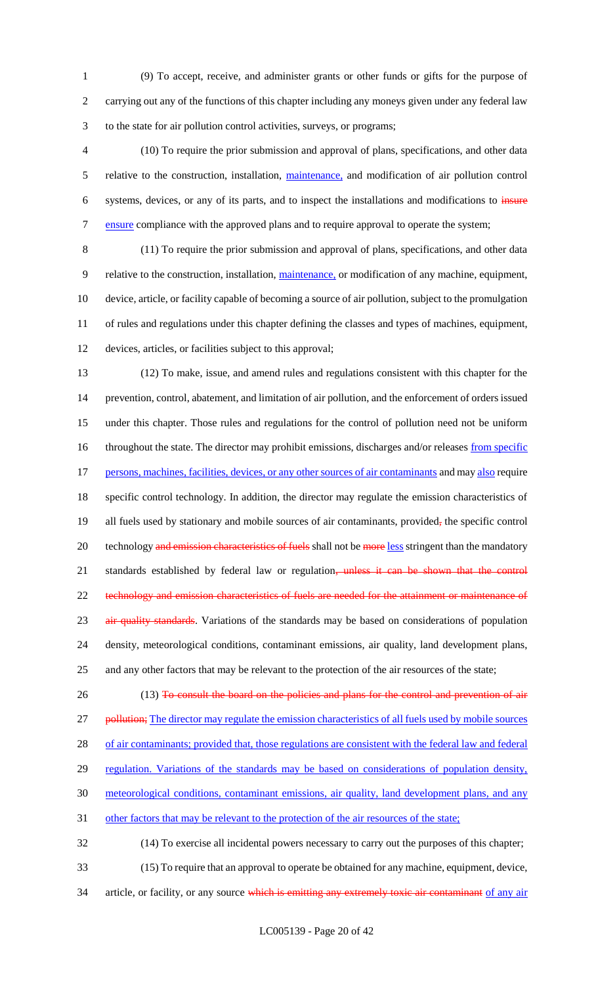1 (9) To accept, receive, and administer grants or other funds or gifts for the purpose of 2 carrying out any of the functions of this chapter including any moneys given under any federal law 3 to the state for air pollution control activities, surveys, or programs;

4 (10) To require the prior submission and approval of plans, specifications, and other data 5 relative to the construction, installation, maintenance, and modification of air pollution control 6 systems, devices, or any of its parts, and to inspect the installations and modifications to insure 7 ensure compliance with the approved plans and to require approval to operate the system;

 (11) To require the prior submission and approval of plans, specifications, and other data relative to the construction, installation, maintenance, or modification of any machine, equipment, device, article, or facility capable of becoming a source of air pollution, subject to the promulgation of rules and regulations under this chapter defining the classes and types of machines, equipment, devices, articles, or facilities subject to this approval;

13 (12) To make, issue, and amend rules and regulations consistent with this chapter for the 14 prevention, control, abatement, and limitation of air pollution, and the enforcement of orders issued 15 under this chapter. Those rules and regulations for the control of pollution need not be uniform 16 throughout the state. The director may prohibit emissions, discharges and/or releases from specific 17 persons, machines, facilities, devices, or any other sources of air contaminants and may also require 18 specific control technology. In addition, the director may regulate the emission characteristics of 19 all fuels used by stationary and mobile sources of air contaminants, provided, the specific control 20 technology and emission characteristics of fuels shall not be more less stringent than the mandatory 21 standards established by federal law or regulation, unless it can be shown that the control 22 technology and emission characteristics of fuels are needed for the attainment or maintenance of 23 air quality standards. Variations of the standards may be based on considerations of population 24 density, meteorological conditions, contaminant emissions, air quality, land development plans, 25 and any other factors that may be relevant to the protection of the air resources of the state;

- 26 (13) To consult the board on the policies and plans for the control and prevention of air 27 pollution; The director may regulate the emission characteristics of all fuels used by mobile sources 28 of air contaminants; provided that, those regulations are consistent with the federal law and federal 29 regulation. Variations of the standards may be based on considerations of population density, 30 meteorological conditions, contaminant emissions, air quality, land development plans, and any 31 other factors that may be relevant to the protection of the air resources of the state; 32 (14) To exercise all incidental powers necessary to carry out the purposes of this chapter;
- 33 (15) To require that an approval to operate be obtained for any machine, equipment, device,
- 34 article, or facility, or any source which is emitting any extremely toxic air contaminant of any air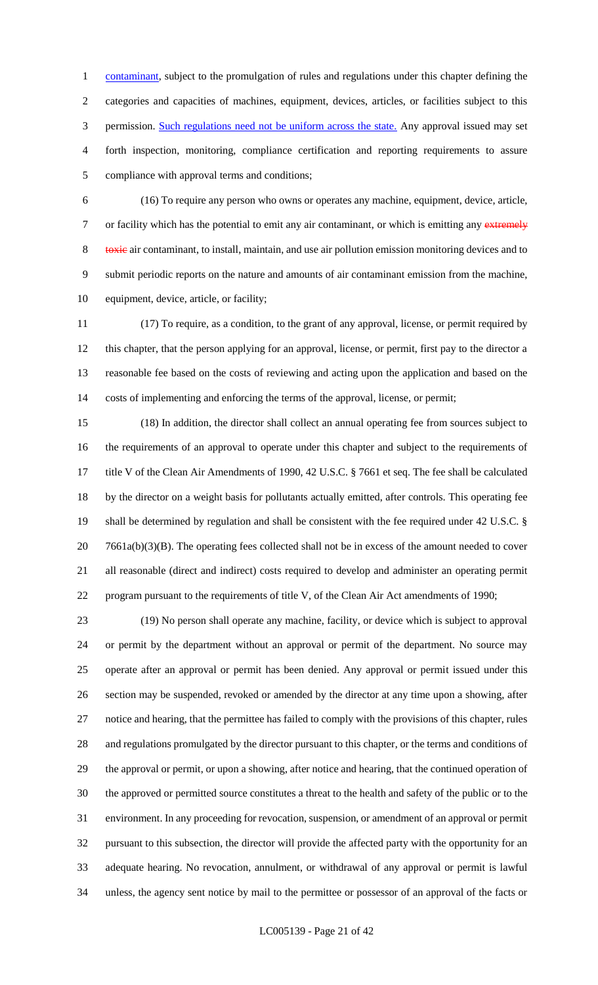1 contaminant, subject to the promulgation of rules and regulations under this chapter defining the categories and capacities of machines, equipment, devices, articles, or facilities subject to this 3 permission. Such regulations need not be uniform across the state. Any approval issued may set forth inspection, monitoring, compliance certification and reporting requirements to assure compliance with approval terms and conditions;

 (16) To require any person who owns or operates any machine, equipment, device, article, 7 or facility which has the potential to emit any air contaminant, or which is emitting any extremely 8 toxic air contaminant, to install, maintain, and use air pollution emission monitoring devices and to submit periodic reports on the nature and amounts of air contaminant emission from the machine, equipment, device, article, or facility;

 (17) To require, as a condition, to the grant of any approval, license, or permit required by this chapter, that the person applying for an approval, license, or permit, first pay to the director a reasonable fee based on the costs of reviewing and acting upon the application and based on the costs of implementing and enforcing the terms of the approval, license, or permit;

 (18) In addition, the director shall collect an annual operating fee from sources subject to the requirements of an approval to operate under this chapter and subject to the requirements of title V of the Clean Air Amendments of 1990, 42 U.S.C. § 7661 et seq. The fee shall be calculated by the director on a weight basis for pollutants actually emitted, after controls. This operating fee shall be determined by regulation and shall be consistent with the fee required under 42 U.S.C. § 20 7661a(b)(3)(B). The operating fees collected shall not be in excess of the amount needed to cover all reasonable (direct and indirect) costs required to develop and administer an operating permit program pursuant to the requirements of title V, of the Clean Air Act amendments of 1990;

 (19) No person shall operate any machine, facility, or device which is subject to approval or permit by the department without an approval or permit of the department. No source may operate after an approval or permit has been denied. Any approval or permit issued under this section may be suspended, revoked or amended by the director at any time upon a showing, after notice and hearing, that the permittee has failed to comply with the provisions of this chapter, rules and regulations promulgated by the director pursuant to this chapter, or the terms and conditions of the approval or permit, or upon a showing, after notice and hearing, that the continued operation of the approved or permitted source constitutes a threat to the health and safety of the public or to the environment. In any proceeding for revocation, suspension, or amendment of an approval or permit pursuant to this subsection, the director will provide the affected party with the opportunity for an adequate hearing. No revocation, annulment, or withdrawal of any approval or permit is lawful unless, the agency sent notice by mail to the permittee or possessor of an approval of the facts or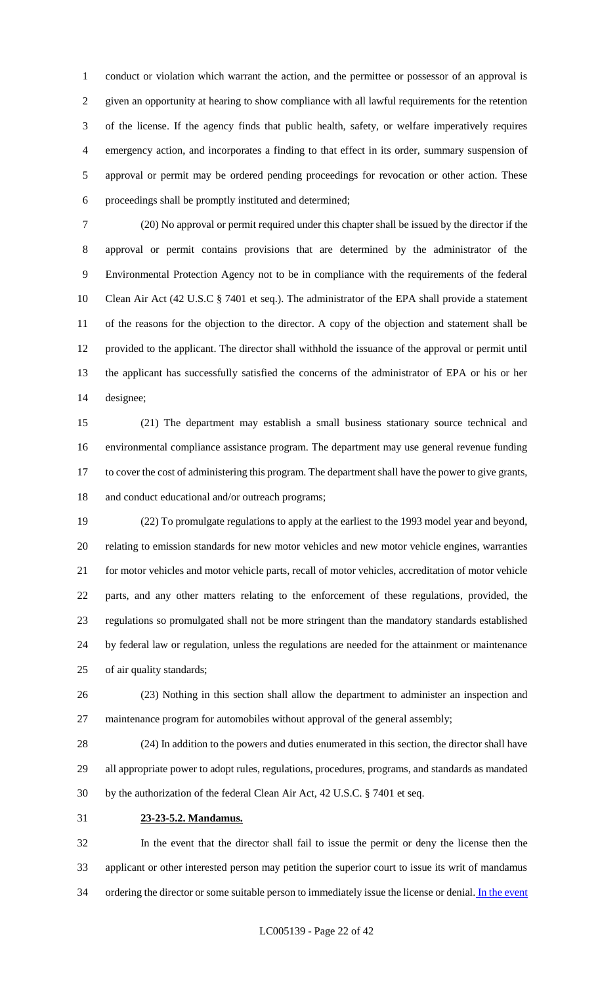conduct or violation which warrant the action, and the permittee or possessor of an approval is given an opportunity at hearing to show compliance with all lawful requirements for the retention of the license. If the agency finds that public health, safety, or welfare imperatively requires emergency action, and incorporates a finding to that effect in its order, summary suspension of approval or permit may be ordered pending proceedings for revocation or other action. These proceedings shall be promptly instituted and determined;

 (20) No approval or permit required under this chapter shall be issued by the director if the approval or permit contains provisions that are determined by the administrator of the Environmental Protection Agency not to be in compliance with the requirements of the federal Clean Air Act (42 U.S.C § 7401 et seq.). The administrator of the EPA shall provide a statement of the reasons for the objection to the director. A copy of the objection and statement shall be provided to the applicant. The director shall withhold the issuance of the approval or permit until the applicant has successfully satisfied the concerns of the administrator of EPA or his or her designee;

 (21) The department may establish a small business stationary source technical and environmental compliance assistance program. The department may use general revenue funding to cover the cost of administering this program. The department shall have the power to give grants, and conduct educational and/or outreach programs;

 (22) To promulgate regulations to apply at the earliest to the 1993 model year and beyond, relating to emission standards for new motor vehicles and new motor vehicle engines, warranties for motor vehicles and motor vehicle parts, recall of motor vehicles, accreditation of motor vehicle parts, and any other matters relating to the enforcement of these regulations, provided, the regulations so promulgated shall not be more stringent than the mandatory standards established by federal law or regulation, unless the regulations are needed for the attainment or maintenance of air quality standards;

 (23) Nothing in this section shall allow the department to administer an inspection and maintenance program for automobiles without approval of the general assembly;

 (24) In addition to the powers and duties enumerated in this section, the director shall have all appropriate power to adopt rules, regulations, procedures, programs, and standards as mandated by the authorization of the federal Clean Air Act, 42 U.S.C. § 7401 et seq.

**23-23-5.2. Mandamus.**

 In the event that the director shall fail to issue the permit or deny the license then the applicant or other interested person may petition the superior court to issue its writ of mandamus 34 ordering the director or some suitable person to immediately issue the license or denial. In the event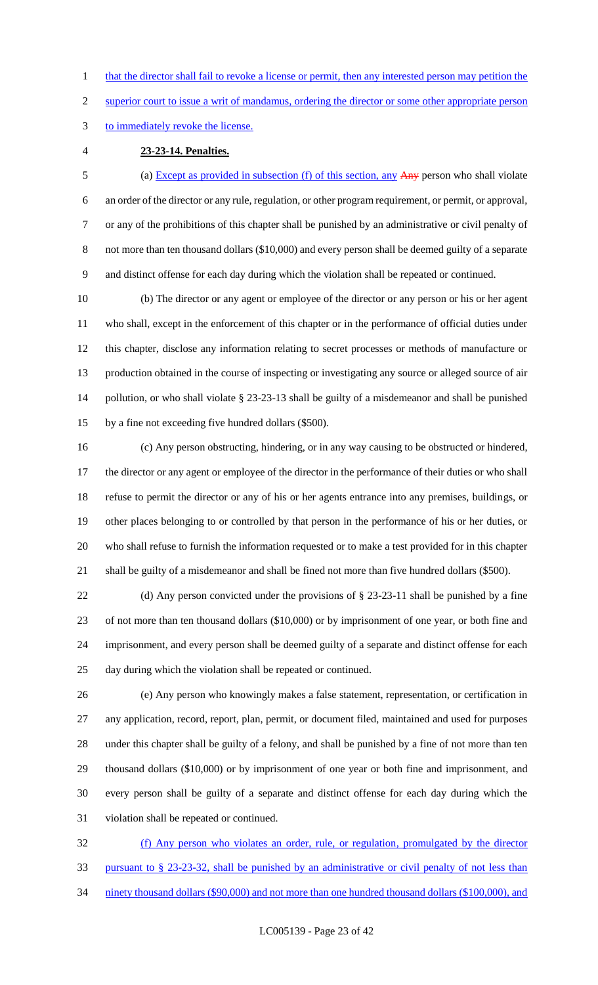1 that the director shall fail to revoke a license or permit, then any interested person may petition the

superior court to issue a writ of mandamus, ordering the director or some other appropriate person

to immediately revoke the license.

**23-23-14. Penalties.**

 (a) Except as provided in subsection (f) of this section, any Any person who shall violate an order of the director or any rule, regulation, or other program requirement, or permit, or approval, or any of the prohibitions of this chapter shall be punished by an administrative or civil penalty of 8 not more than ten thousand dollars (\$10,000) and every person shall be deemed guilty of a separate and distinct offense for each day during which the violation shall be repeated or continued.

 (b) The director or any agent or employee of the director or any person or his or her agent who shall, except in the enforcement of this chapter or in the performance of official duties under this chapter, disclose any information relating to secret processes or methods of manufacture or production obtained in the course of inspecting or investigating any source or alleged source of air pollution, or who shall violate § 23-23-13 shall be guilty of a misdemeanor and shall be punished by a fine not exceeding five hundred dollars (\$500).

 (c) Any person obstructing, hindering, or in any way causing to be obstructed or hindered, the director or any agent or employee of the director in the performance of their duties or who shall refuse to permit the director or any of his or her agents entrance into any premises, buildings, or other places belonging to or controlled by that person in the performance of his or her duties, or who shall refuse to furnish the information requested or to make a test provided for in this chapter shall be guilty of a misdemeanor and shall be fined not more than five hundred dollars (\$500).

 (d) Any person convicted under the provisions of § 23-23-11 shall be punished by a fine of not more than ten thousand dollars (\$10,000) or by imprisonment of one year, or both fine and imprisonment, and every person shall be deemed guilty of a separate and distinct offense for each day during which the violation shall be repeated or continued.

 (e) Any person who knowingly makes a false statement, representation, or certification in any application, record, report, plan, permit, or document filed, maintained and used for purposes under this chapter shall be guilty of a felony, and shall be punished by a fine of not more than ten thousand dollars (\$10,000) or by imprisonment of one year or both fine and imprisonment, and every person shall be guilty of a separate and distinct offense for each day during which the violation shall be repeated or continued.

 (f) Any person who violates an order, rule, or regulation, promulgated by the director pursuant to § 23-23-32, shall be punished by an administrative or civil penalty of not less than 34 ninety thousand dollars (\$90,000) and not more than one hundred thousand dollars (\$100,000), and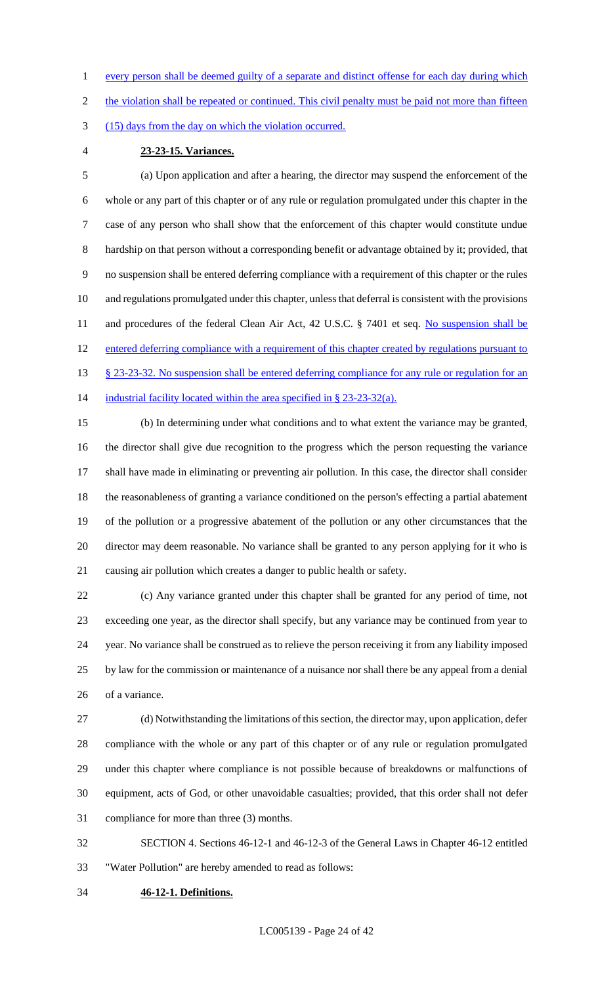1 every person shall be deemed guilty of a separate and distinct offense for each day during which

2 the violation shall be repeated or continued. This civil penalty must be paid not more than fifteen

(15) days from the day on which the violation occurred.

# **23-23-15. Variances.**

 (a) Upon application and after a hearing, the director may suspend the enforcement of the whole or any part of this chapter or of any rule or regulation promulgated under this chapter in the case of any person who shall show that the enforcement of this chapter would constitute undue hardship on that person without a corresponding benefit or advantage obtained by it; provided, that no suspension shall be entered deferring compliance with a requirement of this chapter or the rules and regulations promulgated under this chapter, unless that deferral is consistent with the provisions 11 and procedures of the federal Clean Air Act, 42 U.S.C. § 7401 et seq. No suspension shall be entered deferring compliance with a requirement of this chapter created by regulations pursuant to 13 § 23-23-32. No suspension shall be entered deferring compliance for any rule or regulation for an 14 industrial facility located within the area specified in § 23-23-32(a).

 (b) In determining under what conditions and to what extent the variance may be granted, the director shall give due recognition to the progress which the person requesting the variance shall have made in eliminating or preventing air pollution. In this case, the director shall consider the reasonableness of granting a variance conditioned on the person's effecting a partial abatement of the pollution or a progressive abatement of the pollution or any other circumstances that the director may deem reasonable. No variance shall be granted to any person applying for it who is causing air pollution which creates a danger to public health or safety.

 (c) Any variance granted under this chapter shall be granted for any period of time, not exceeding one year, as the director shall specify, but any variance may be continued from year to year. No variance shall be construed as to relieve the person receiving it from any liability imposed by law for the commission or maintenance of a nuisance nor shall there be any appeal from a denial of a variance.

 (d) Notwithstanding the limitations of this section, the director may, upon application, defer compliance with the whole or any part of this chapter or of any rule or regulation promulgated under this chapter where compliance is not possible because of breakdowns or malfunctions of equipment, acts of God, or other unavoidable casualties; provided, that this order shall not defer compliance for more than three (3) months.

 SECTION 4. Sections 46-12-1 and 46-12-3 of the General Laws in Chapter 46-12 entitled "Water Pollution" are hereby amended to read as follows:

**46-12-1. Definitions.**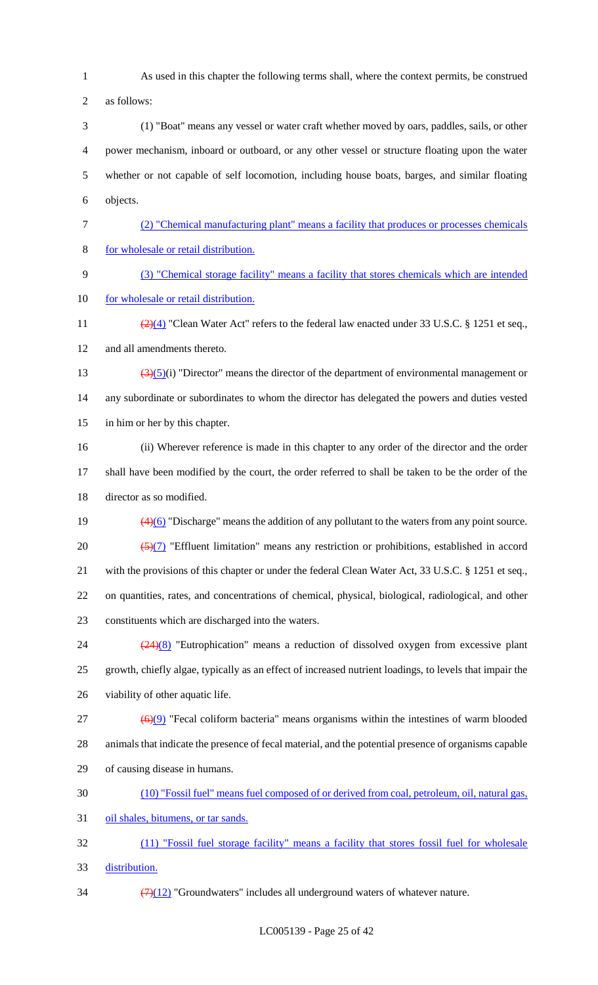As used in this chapter the following terms shall, where the context permits, be construed

as follows:

 (1) "Boat" means any vessel or water craft whether moved by oars, paddles, sails, or other power mechanism, inboard or outboard, or any other vessel or structure floating upon the water whether or not capable of self locomotion, including house boats, barges, and similar floating objects.

- (2) "Chemical manufacturing plant" means a facility that produces or processes chemicals for wholesale or retail distribution.
- (3) "Chemical storage facility" means a facility that stores chemicals which are intended 10 for wholesale or retail distribution.
- 11  $\frac{(2)(4)}{2}$  "Clean Water Act" refers to the federal law enacted under 33 U.S.C. § 1251 et seq., and all amendments thereto.
- 13  $\left(\frac{3}{5}\right)(i)$  "Director" means the director of the department of environmental management or any subordinate or subordinates to whom the director has delegated the powers and duties vested in him or her by this chapter.
- (ii) Wherever reference is made in this chapter to any order of the director and the order shall have been modified by the court, the order referred to shall be taken to be the order of the director as so modified.
- 19  $\left(4\right)\left(6\right)$  "Discharge" means the addition of any pollutant to the waters from any point source. 20  $\left(\frac{5}{7}\right)$  "Effluent limitation" means any restriction or prohibitions, established in accord with the provisions of this chapter or under the federal Clean Water Act, 33 U.S.C. § 1251 et seq., on quantities, rates, and concentrations of chemical, physical, biological, radiological, and other constituents which are discharged into the waters.

24 (24)(8) "Eutrophication" means a reduction of dissolved oxygen from excessive plant growth, chiefly algae, typically as an effect of increased nutrient loadings, to levels that impair the viability of other aquatic life.

- ( $\Theta$ ) "Fecal coliform bacteria" means organisms within the intestines of warm blooded animals that indicate the presence of fecal material, and the potential presence of organisms capable of causing disease in humans.
- (10) "Fossil fuel" means fuel composed of or derived from coal, petroleum, oil, natural gas,

oil shales, bitumens, or tar sands.

 (11) "Fossil fuel storage facility" means a facility that stores fossil fuel for wholesale distribution.

 $\frac{(7)(12)}{7}$  "Groundwaters" includes all underground waters of whatever nature.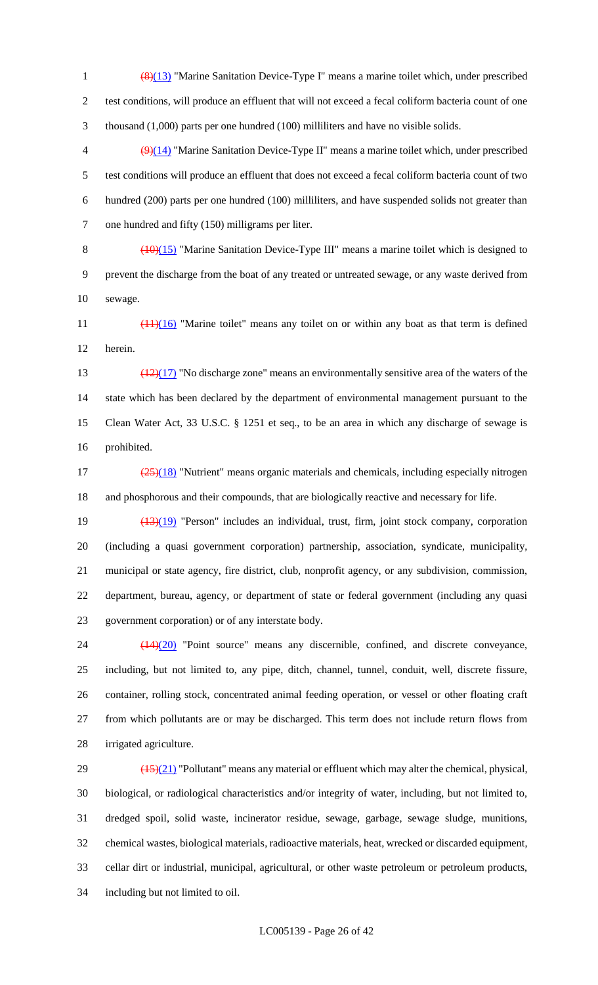(8)(13) "Marine Sanitation Device-Type I" means a marine toilet which, under prescribed test conditions, will produce an effluent that will not exceed a fecal coliform bacteria count of one thousand (1,000) parts per one hundred (100) milliliters and have no visible solids.

 $\left(\frac{9}{14}\right)$  "Marine Sanitation Device-Type II" means a marine toilet which, under prescribed test conditions will produce an effluent that does not exceed a fecal coliform bacteria count of two hundred (200) parts per one hundred (100) milliliters, and have suspended solids not greater than one hundred and fifty (150) milligrams per liter.

8  $(10)(15)$  "Marine Sanitation Device-Type III" means a marine toilet which is designed to prevent the discharge from the boat of any treated or untreated sewage, or any waste derived from sewage.

11  $\left(\frac{(11)(16)}{11}\right)$  "Marine toilet" means any toilet on or within any boat as that term is defined herein.

 $\frac{(12)(17)}{20}$  "No discharge zone" means an environmentally sensitive area of the waters of the state which has been declared by the department of environmental management pursuant to the Clean Water Act, 33 U.S.C. § 1251 et seq., to be an area in which any discharge of sewage is prohibited.

 $\frac{(25)(18)}{25}$  "Nutrient" means organic materials and chemicals, including especially nitrogen and phosphorous and their compounds, that are biologically reactive and necessary for life.

 (13)(19) "Person" includes an individual, trust, firm, joint stock company, corporation (including a quasi government corporation) partnership, association, syndicate, municipality, municipal or state agency, fire district, club, nonprofit agency, or any subdivision, commission, department, bureau, agency, or department of state or federal government (including any quasi government corporation) or of any interstate body.

 (14)(20) "Point source" means any discernible, confined, and discrete conveyance, including, but not limited to, any pipe, ditch, channel, tunnel, conduit, well, discrete fissure, container, rolling stock, concentrated animal feeding operation, or vessel or other floating craft from which pollutants are or may be discharged. This term does not include return flows from irrigated agriculture.

 $29 \left( \frac{(15)(21)}{2} \right)$  "Pollutant" means any material or effluent which may alter the chemical, physical, biological, or radiological characteristics and/or integrity of water, including, but not limited to, dredged spoil, solid waste, incinerator residue, sewage, garbage, sewage sludge, munitions, chemical wastes, biological materials, radioactive materials, heat, wrecked or discarded equipment, cellar dirt or industrial, municipal, agricultural, or other waste petroleum or petroleum products, including but not limited to oil.

LC005139 - Page 26 of 42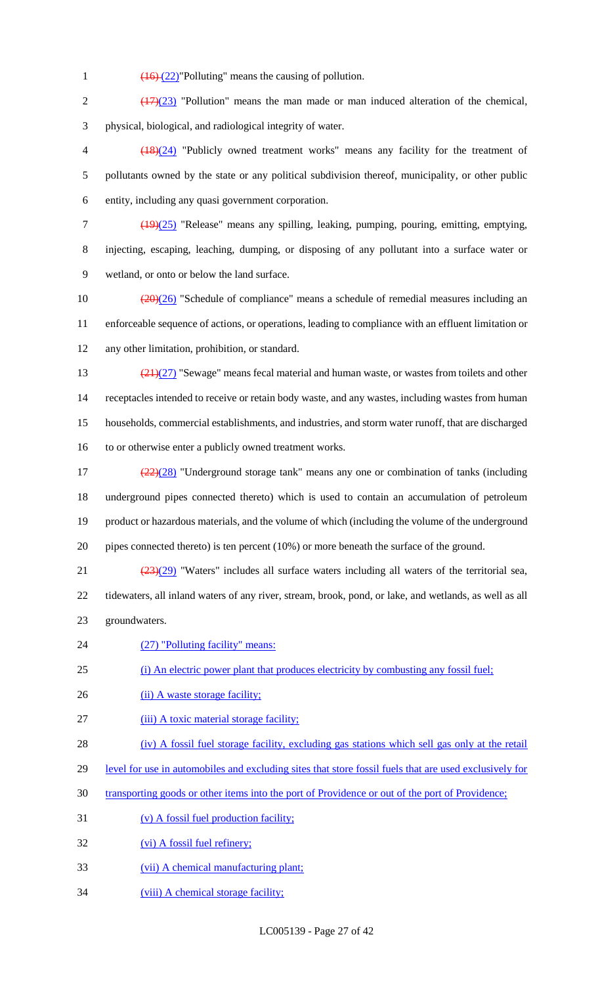1  $\left(\frac{16}{22}\right)$ "Polluting" means the causing of pollution.

2  $\left(\frac{(17)(23)}{2}\right)$  "Pollution" means the man made or man induced alteration of the chemical, physical, biological, and radiological integrity of water.

 (18)(24) "Publicly owned treatment works" means any facility for the treatment of pollutants owned by the state or any political subdivision thereof, municipality, or other public entity, including any quasi government corporation.

- (19)(25) "Release" means any spilling, leaking, pumping, pouring, emitting, emptying, injecting, escaping, leaching, dumping, or disposing of any pollutant into a surface water or wetland, or onto or below the land surface.
- 10  $\left(\frac{(20)(26)}{20}\right)$  "Schedule of compliance" means a schedule of remedial measures including an enforceable sequence of actions, or operations, leading to compliance with an effluent limitation or any other limitation, prohibition, or standard.
- 13  $\frac{(21)(27)}{28}$  "Sewage" means fecal material and human waste, or wastes from toilets and other receptacles intended to receive or retain body waste, and any wastes, including wastes from human households, commercial establishments, and industries, and storm water runoff, that are discharged to or otherwise enter a publicly owned treatment works.
- $\frac{(22)(28)}{2}$  "Underground storage tank" means any one or combination of tanks (including underground pipes connected thereto) which is used to contain an accumulation of petroleum product or hazardous materials, and the volume of which (including the volume of the underground pipes connected thereto) is ten percent (10%) or more beneath the surface of the ground.

21  $\frac{(23)(29)}{23}$  "Waters" includes all surface waters including all waters of the territorial sea, tidewaters, all inland waters of any river, stream, brook, pond, or lake, and wetlands, as well as all groundwaters.

- 24 (27) "Polluting facility" means:
- (i) An electric power plant that produces electricity by combusting any fossil fuel;
- 26 (ii) A waste storage facility;
- 27 (iii) A toxic material storage facility;
- (iv) A fossil fuel storage facility, excluding gas stations which sell gas only at the retail
- level for use in automobiles and excluding sites that store fossil fuels that are used exclusively for
- transporting goods or other items into the port of Providence or out of the port of Providence;
- (v) A fossil fuel production facility;
- 32 (vi) A fossil fuel refinery;
- (vii) A chemical manufacturing plant;
- 34 (viii) A chemical storage facility;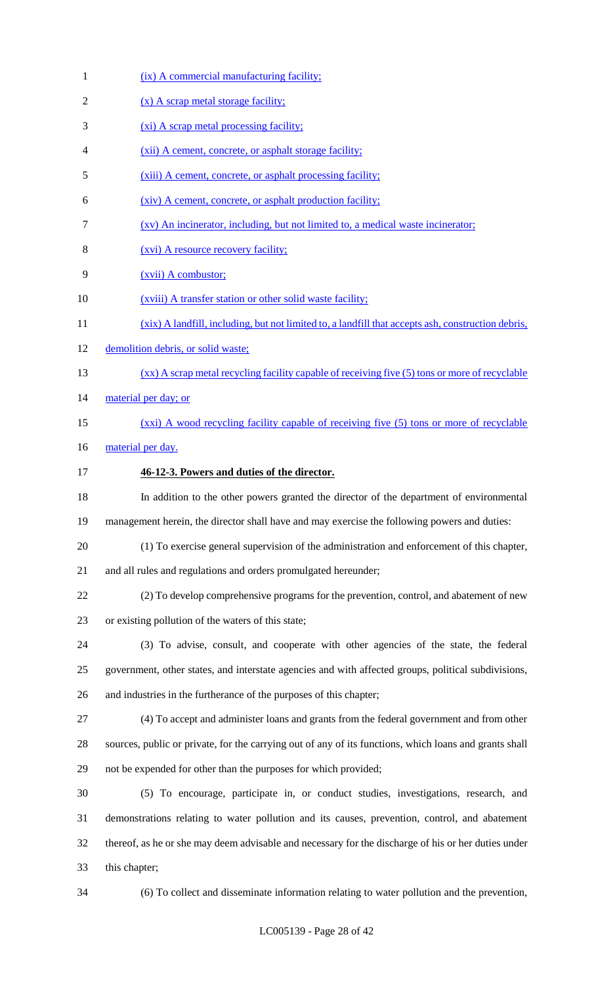1 (ix) A commercial manufacturing facility; 2 (x) A scrap metal storage facility; 3 (xi) A scrap metal processing facility; (xii) A cement, concrete, or asphalt storage facility; (xiii) A cement, concrete, or asphalt processing facility; (xiv) A cement, concrete, or asphalt production facility; (xv) An incinerator, including, but not limited to, a medical waste incinerator; (xvi) A resource recovery facility; (xvii) A combustor; 10 (*xviii*) A transfer station or other solid waste facility; (xix) A landfill, including, but not limited to, a landfill that accepts ash, construction debris, demolition debris, or solid waste; (xx) A scrap metal recycling facility capable of receiving five (5) tons or more of recyclable 14 material per day; or 15 (xxi) A wood recycling facility capable of receiving five (5) tons or more of recyclable 16 material per day. **46-12-3. Powers and duties of the director.** In addition to the other powers granted the director of the department of environmental management herein, the director shall have and may exercise the following powers and duties: (1) To exercise general supervision of the administration and enforcement of this chapter, and all rules and regulations and orders promulgated hereunder; (2) To develop comprehensive programs for the prevention, control, and abatement of new or existing pollution of the waters of this state; (3) To advise, consult, and cooperate with other agencies of the state, the federal government, other states, and interstate agencies and with affected groups, political subdivisions, and industries in the furtherance of the purposes of this chapter; (4) To accept and administer loans and grants from the federal government and from other sources, public or private, for the carrying out of any of its functions, which loans and grants shall not be expended for other than the purposes for which provided; (5) To encourage, participate in, or conduct studies, investigations, research, and demonstrations relating to water pollution and its causes, prevention, control, and abatement thereof, as he or she may deem advisable and necessary for the discharge of his or her duties under this chapter; (6) To collect and disseminate information relating to water pollution and the prevention,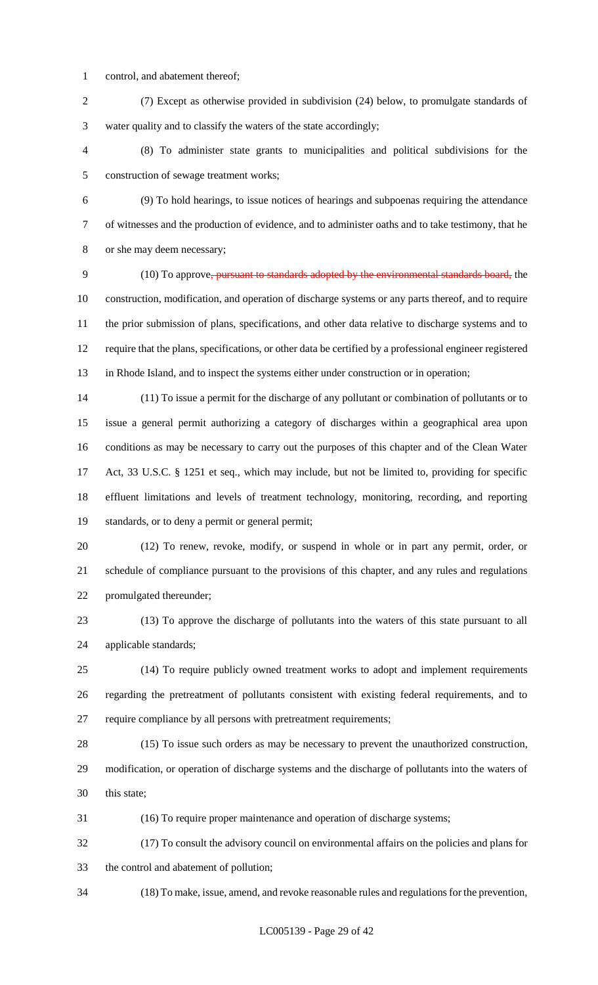- control, and abatement thereof;
- (7) Except as otherwise provided in subdivision (24) below, to promulgate standards of water quality and to classify the waters of the state accordingly;
- (8) To administer state grants to municipalities and political subdivisions for the construction of sewage treatment works;
- 

 (9) To hold hearings, to issue notices of hearings and subpoenas requiring the attendance of witnesses and the production of evidence, and to administer oaths and to take testimony, that he or she may deem necessary;

 (10) To approve, pursuant to standards adopted by the environmental standards board, the construction, modification, and operation of discharge systems or any parts thereof, and to require the prior submission of plans, specifications, and other data relative to discharge systems and to require that the plans, specifications, or other data be certified by a professional engineer registered in Rhode Island, and to inspect the systems either under construction or in operation;

 (11) To issue a permit for the discharge of any pollutant or combination of pollutants or to issue a general permit authorizing a category of discharges within a geographical area upon conditions as may be necessary to carry out the purposes of this chapter and of the Clean Water Act, 33 U.S.C. § 1251 et seq., which may include, but not be limited to, providing for specific effluent limitations and levels of treatment technology, monitoring, recording, and reporting standards, or to deny a permit or general permit;

 (12) To renew, revoke, modify, or suspend in whole or in part any permit, order, or schedule of compliance pursuant to the provisions of this chapter, and any rules and regulations promulgated thereunder;

 (13) To approve the discharge of pollutants into the waters of this state pursuant to all applicable standards;

 (14) To require publicly owned treatment works to adopt and implement requirements regarding the pretreatment of pollutants consistent with existing federal requirements, and to require compliance by all persons with pretreatment requirements;

 (15) To issue such orders as may be necessary to prevent the unauthorized construction, modification, or operation of discharge systems and the discharge of pollutants into the waters of this state;

(16) To require proper maintenance and operation of discharge systems;

 (17) To consult the advisory council on environmental affairs on the policies and plans for the control and abatement of pollution;

(18) To make, issue, amend, and revoke reasonable rules and regulations for the prevention,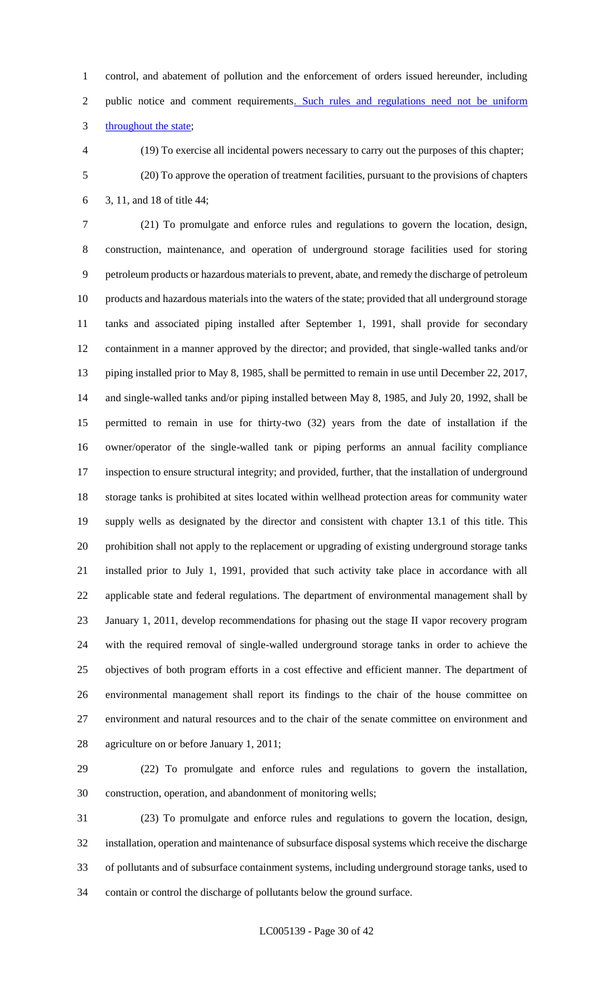control, and abatement of pollution and the enforcement of orders issued hereunder, including 2 public notice and comment requirements. Such rules and regulations need not be uniform 3 throughout the state;

 (19) To exercise all incidental powers necessary to carry out the purposes of this chapter; (20) To approve the operation of treatment facilities, pursuant to the provisions of chapters 3, 11, and 18 of title 44;

 (21) To promulgate and enforce rules and regulations to govern the location, design, construction, maintenance, and operation of underground storage facilities used for storing petroleum products or hazardous materials to prevent, abate, and remedy the discharge of petroleum products and hazardous materials into the waters of the state; provided that all underground storage tanks and associated piping installed after September 1, 1991, shall provide for secondary containment in a manner approved by the director; and provided, that single-walled tanks and/or piping installed prior to May 8, 1985, shall be permitted to remain in use until December 22, 2017, and single-walled tanks and/or piping installed between May 8, 1985, and July 20, 1992, shall be permitted to remain in use for thirty-two (32) years from the date of installation if the owner/operator of the single-walled tank or piping performs an annual facility compliance inspection to ensure structural integrity; and provided, further, that the installation of underground storage tanks is prohibited at sites located within wellhead protection areas for community water supply wells as designated by the director and consistent with chapter 13.1 of this title. This prohibition shall not apply to the replacement or upgrading of existing underground storage tanks installed prior to July 1, 1991, provided that such activity take place in accordance with all applicable state and federal regulations. The department of environmental management shall by January 1, 2011, develop recommendations for phasing out the stage II vapor recovery program with the required removal of single-walled underground storage tanks in order to achieve the objectives of both program efforts in a cost effective and efficient manner. The department of environmental management shall report its findings to the chair of the house committee on environment and natural resources and to the chair of the senate committee on environment and agriculture on or before January 1, 2011;

 (22) To promulgate and enforce rules and regulations to govern the installation, construction, operation, and abandonment of monitoring wells;

 (23) To promulgate and enforce rules and regulations to govern the location, design, installation, operation and maintenance of subsurface disposal systems which receive the discharge of pollutants and of subsurface containment systems, including underground storage tanks, used to contain or control the discharge of pollutants below the ground surface.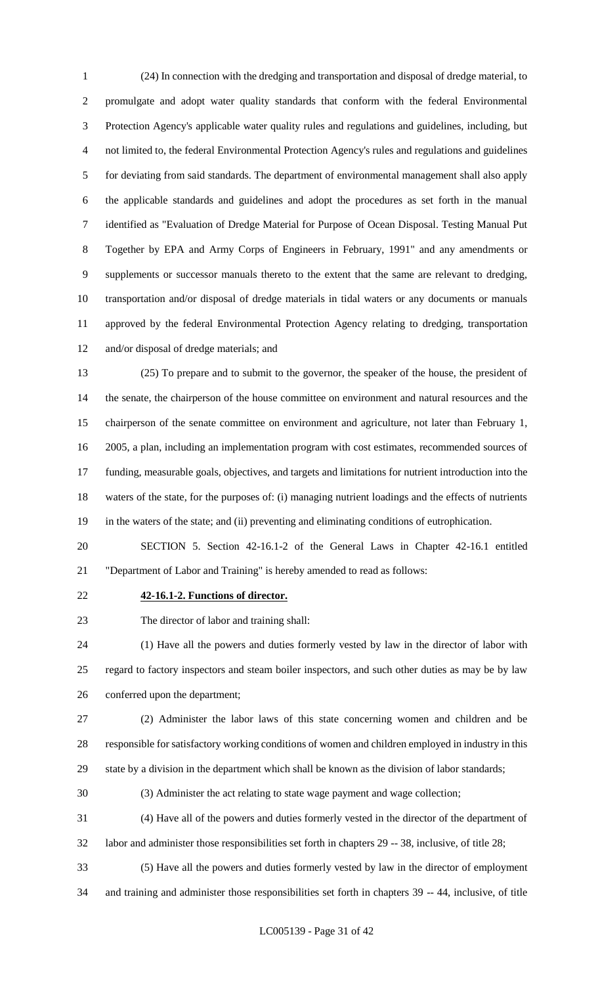(24) In connection with the dredging and transportation and disposal of dredge material, to promulgate and adopt water quality standards that conform with the federal Environmental Protection Agency's applicable water quality rules and regulations and guidelines, including, but not limited to, the federal Environmental Protection Agency's rules and regulations and guidelines for deviating from said standards. The department of environmental management shall also apply the applicable standards and guidelines and adopt the procedures as set forth in the manual identified as "Evaluation of Dredge Material for Purpose of Ocean Disposal. Testing Manual Put Together by EPA and Army Corps of Engineers in February, 1991" and any amendments or supplements or successor manuals thereto to the extent that the same are relevant to dredging, transportation and/or disposal of dredge materials in tidal waters or any documents or manuals approved by the federal Environmental Protection Agency relating to dredging, transportation and/or disposal of dredge materials; and

 (25) To prepare and to submit to the governor, the speaker of the house, the president of the senate, the chairperson of the house committee on environment and natural resources and the chairperson of the senate committee on environment and agriculture, not later than February 1, 2005, a plan, including an implementation program with cost estimates, recommended sources of funding, measurable goals, objectives, and targets and limitations for nutrient introduction into the waters of the state, for the purposes of: (i) managing nutrient loadings and the effects of nutrients in the waters of the state; and (ii) preventing and eliminating conditions of eutrophication.

 SECTION 5. Section 42-16.1-2 of the General Laws in Chapter 42-16.1 entitled "Department of Labor and Training" is hereby amended to read as follows:

#### **42-16.1-2. Functions of director.**

The director of labor and training shall:

 (1) Have all the powers and duties formerly vested by law in the director of labor with regard to factory inspectors and steam boiler inspectors, and such other duties as may be by law conferred upon the department;

 (2) Administer the labor laws of this state concerning women and children and be responsible for satisfactory working conditions of women and children employed in industry in this state by a division in the department which shall be known as the division of labor standards;

(3) Administer the act relating to state wage payment and wage collection;

(4) Have all of the powers and duties formerly vested in the director of the department of

labor and administer those responsibilities set forth in chapters 29 -- 38, inclusive, of title 28;

 (5) Have all the powers and duties formerly vested by law in the director of employment and training and administer those responsibilities set forth in chapters 39 -- 44, inclusive, of title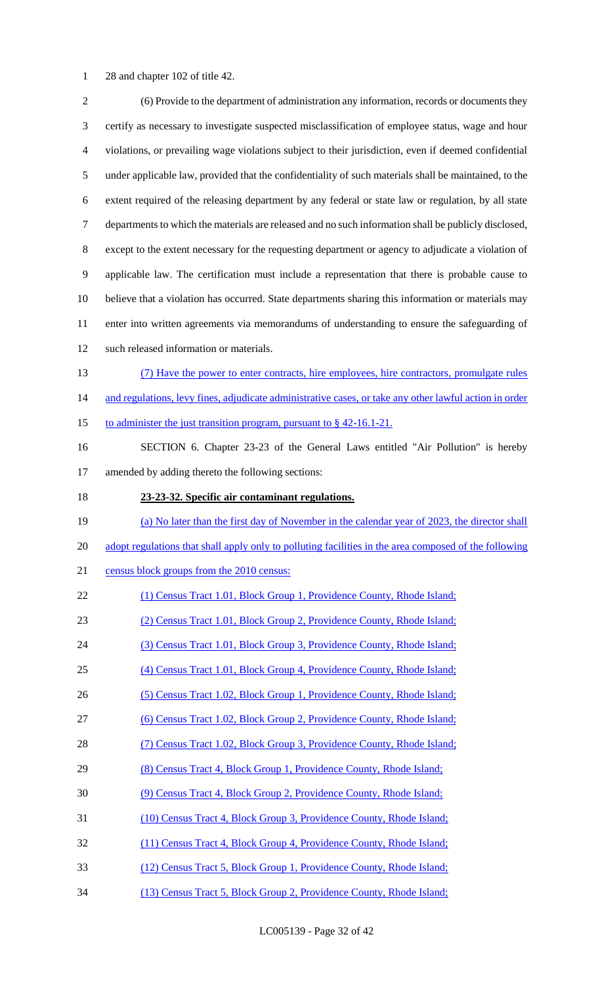28 and chapter 102 of title 42.

| $\overline{2}$ | (6) Provide to the department of administration any information, records or documents they             |
|----------------|--------------------------------------------------------------------------------------------------------|
| 3              | certify as necessary to investigate suspected misclassification of employee status, wage and hour      |
| $\overline{4}$ | violations, or prevailing wage violations subject to their jurisdiction, even if deemed confidential   |
| $\mathfrak{S}$ | under applicable law, provided that the confidentiality of such materials shall be maintained, to the  |
| 6              | extent required of the releasing department by any federal or state law or regulation, by all state    |
| $\tau$         | departments to which the materials are released and no such information shall be publicly disclosed,   |
| $8\,$          | except to the extent necessary for the requesting department or agency to adjudicate a violation of    |
| $\overline{9}$ | applicable law. The certification must include a representation that there is probable cause to        |
| 10             | believe that a violation has occurred. State departments sharing this information or materials may     |
| 11             | enter into written agreements via memorandums of understanding to ensure the safeguarding of           |
| 12             | such released information or materials.                                                                |
| 13             | (7) Have the power to enter contracts, hire employees, hire contractors, promulgate rules              |
| 14             | and regulations, levy fines, adjudicate administrative cases, or take any other lawful action in order |
| 15             | to administer the just transition program, pursuant to $\S$ 42-16.1-21.                                |
| 16             | SECTION 6. Chapter 23-23 of the General Laws entitled "Air Pollution" is hereby                        |
| 17             | amended by adding thereto the following sections:                                                      |
| 18             | 23-23-32. Specific air contaminant regulations.                                                        |
| 19             | (a) No later than the first day of November in the calendar year of 2023, the director shall           |
| 20             | adopt regulations that shall apply only to polluting facilities in the area composed of the following  |
| 21             | census block groups from the 2010 census:                                                              |
| 22             | (1) Census Tract 1.01, Block Group 1, Providence County, Rhode Island;                                 |
| 23             | (2) Census Tract 1.01, Block Group 2, Providence County, Rhode Island;                                 |
| 24             | (3) Census Tract 1.01, Block Group 3, Providence County, Rhode Island;                                 |
| 25             | (4) Census Tract 1.01, Block Group 4, Providence County, Rhode Island;                                 |
| 26             | (5) Census Tract 1.02, Block Group 1, Providence County, Rhode Island;                                 |
| 27             | (6) Census Tract 1.02, Block Group 2, Providence County, Rhode Island;                                 |
| 28             | (7) Census Tract 1.02, Block Group 3, Providence County, Rhode Island;                                 |
| 29             | (8) Census Tract 4, Block Group 1, Providence County, Rhode Island;                                    |
| 30             | (9) Census Tract 4, Block Group 2, Providence County, Rhode Island;                                    |
| 31             | (10) Census Tract 4, Block Group 3, Providence County, Rhode Island;                                   |
| 32             | (11) Census Tract 4, Block Group 4, Providence County, Rhode Island;                                   |
| 33             | (12) Census Tract 5, Block Group 1, Providence County, Rhode Island;                                   |
| 34             | (13) Census Tract 5, Block Group 2, Providence County, Rhode Island;                                   |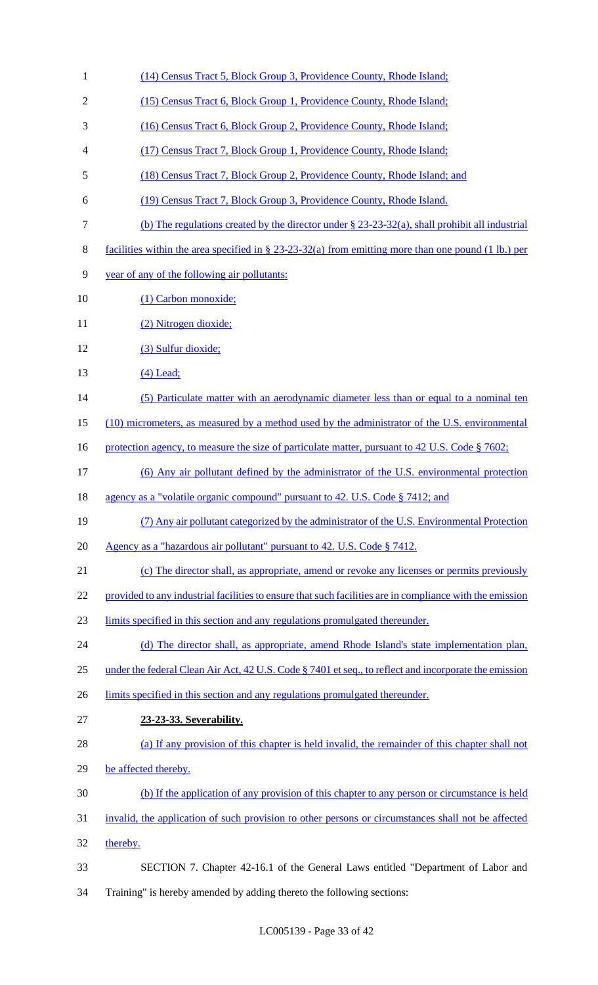(14) Census Tract 5, Block Group 3, Providence County, Rhode Island; 2 (15) Census Tract 6, Block Group 1, Providence County, Rhode Island; (16) Census Tract 6, Block Group 2, Providence County, Rhode Island; (17) Census Tract 7, Block Group 1, Providence County, Rhode Island; (18) Census Tract 7, Block Group 2, Providence County, Rhode Island; and (19) Census Tract 7, Block Group 3, Providence County, Rhode Island. (b) The regulations created by the director under § 23-23-32(a), shall prohibit all industrial facilities within the area specified in § 23-23-32(a) from emitting more than one pound (1 lb.) per year of any of the following air pollutants: 10 (1) Carbon monoxide; 11 (2) Nitrogen dioxide; (3) Sulfur dioxide; 13 (4) Lead; 14 (5) Particulate matter with an aerodynamic diameter less than or equal to a nominal ten (10) micrometers, as measured by a method used by the administrator of the U.S. environmental 16 protection agency, to measure the size of particulate matter, pursuant to 42 U.S. Code § 7602; (6) Any air pollutant defined by the administrator of the U.S. environmental protection 18 agency as a "volatile organic compound" pursuant to 42. U.S. Code § 7412; and (7) Any air pollutant categorized by the administrator of the U.S. Environmental Protection Agency as a "hazardous air pollutant" pursuant to 42. U.S. Code § 7412. (c) The director shall, as appropriate, amend or revoke any licenses or permits previously 22 provided to any industrial facilities to ensure that such facilities are in compliance with the emission limits specified in this section and any regulations promulgated thereunder. 24 (d) The director shall, as appropriate, amend Rhode Island's state implementation plan, 25 under the federal Clean Air Act, 42 U.S. Code § 7401 et seq., to reflect and incorporate the emission 26 limits specified in this section and any regulations promulgated thereunder. **23-23-33. Severability.**  (a) If any provision of this chapter is held invalid, the remainder of this chapter shall not 29 be affected thereby. (b) If the application of any provision of this chapter to any person or circumstance is held invalid, the application of such provision to other persons or circumstances shall not be affected thereby. SECTION 7. Chapter 42-16.1 of the General Laws entitled "Department of Labor and Training" is hereby amended by adding thereto the following sections: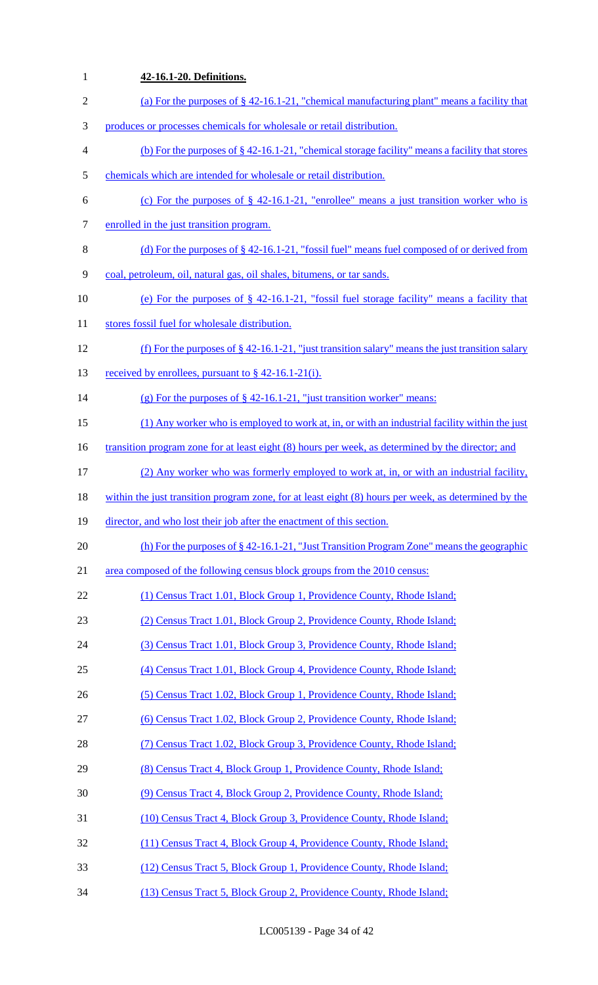| $\mathbf{1}$             | 42-16.1-20. Definitions.                                                                                 |
|--------------------------|----------------------------------------------------------------------------------------------------------|
| $\sqrt{2}$               | (a) For the purposes of $\S$ 42-16.1-21, "chemical manufacturing plant" means a facility that            |
| 3                        | produces or processes chemicals for wholesale or retail distribution.                                    |
| $\overline{\mathcal{A}}$ | (b) For the purposes of $\S$ 42-16.1-21, "chemical storage facility" means a facility that stores        |
| 5                        | chemicals which are intended for wholesale or retail distribution.                                       |
| 6                        | (c) For the purposes of $\S$ 42-16.1-21, "enrollee" means a just transition worker who is                |
| 7                        | enrolled in the just transition program.                                                                 |
| $8\,$                    | (d) For the purposes of $\S$ 42-16.1-21, "fossil fuel" means fuel composed of or derived from            |
| 9                        | coal, petroleum, oil, natural gas, oil shales, bitumens, or tar sands.                                   |
| 10                       | (e) For the purposes of $\S$ 42-16.1-21, "fossil fuel storage facility" means a facility that            |
| 11                       | stores fossil fuel for wholesale distribution.                                                           |
| 12                       | (f) For the purposes of $\S$ 42-16.1-21, "just transition salary" means the just transition salary       |
| 13                       | received by enrollees, pursuant to $\S$ 42-16.1-21(i).                                                   |
| 14                       | (g) For the purposes of $\S$ 42-16.1-21, "just transition worker" means:                                 |
| 15                       | (1) Any worker who is employed to work at, in, or with an industrial facility within the just            |
| 16                       | <u>transition program zone for at least eight (8) hours per week, as determined by the director; and</u> |
| 17                       | (2) Any worker who was formerly employed to work at, in, or with an industrial facility,                 |
| 18                       | within the just transition program zone, for at least eight (8) hours per week, as determined by the     |
| 19                       | director, and who lost their job after the enactment of this section.                                    |
| 20                       | (h) For the purposes of $\S 42$ -16.1-21, "Just Transition Program Zone" means the geographic            |
| 21                       | area composed of the following census block groups from the 2010 census:                                 |
| 22                       | (1) Census Tract 1.01, Block Group 1, Providence County, Rhode Island;                                   |
| 23                       | (2) Census Tract 1.01, Block Group 2, Providence County, Rhode Island;                                   |
| 24                       | (3) Census Tract 1.01, Block Group 3, Providence County, Rhode Island;                                   |
| 25                       | (4) Census Tract 1.01, Block Group 4, Providence County, Rhode Island;                                   |
| 26                       | (5) Census Tract 1.02, Block Group 1, Providence County, Rhode Island;                                   |
| 27                       | (6) Census Tract 1.02, Block Group 2, Providence County, Rhode Island;                                   |
| 28                       | (7) Census Tract 1.02, Block Group 3, Providence County, Rhode Island;                                   |
| 29                       | (8) Census Tract 4, Block Group 1, Providence County, Rhode Island;                                      |
| 30                       | (9) Census Tract 4, Block Group 2, Providence County, Rhode Island;                                      |
| 31                       | (10) Census Tract 4, Block Group 3, Providence County, Rhode Island;                                     |
| 32                       | (11) Census Tract 4, Block Group 4, Providence County, Rhode Island;                                     |
| 33                       | (12) Census Tract 5, Block Group 1, Providence County, Rhode Island;                                     |
| 34                       | (13) Census Tract 5, Block Group 2, Providence County, Rhode Island;                                     |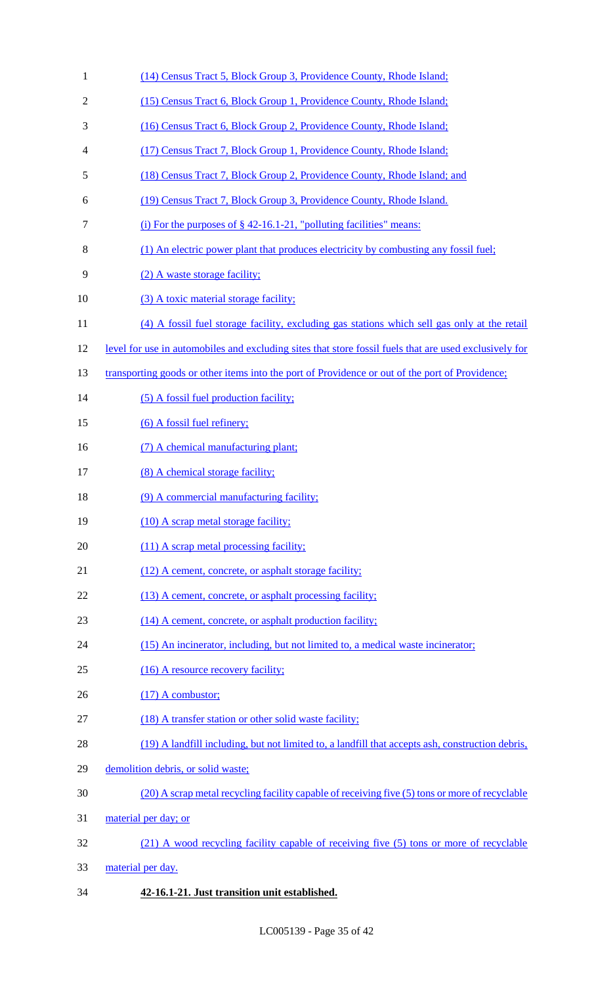| $\mathbf{1}$   | (14) Census Tract 5, Block Group 3, Providence County, Rhode Island;                                   |
|----------------|--------------------------------------------------------------------------------------------------------|
| $\overline{2}$ | (15) Census Tract 6, Block Group 1, Providence County, Rhode Island;                                   |
| 3              | (16) Census Tract 6, Block Group 2, Providence County, Rhode Island;                                   |
| 4              | (17) Census Tract 7, Block Group 1, Providence County, Rhode Island;                                   |
| 5              | (18) Census Tract 7, Block Group 2, Providence County, Rhode Island; and                               |
| 6              | (19) Census Tract 7, Block Group 3, Providence County, Rhode Island.                                   |
| 7              | (i) For the purposes of $\S$ 42-16.1-21, "polluting facilities" means:                                 |
| 8              | (1) An electric power plant that produces electricity by combusting any fossil fuel;                   |
| 9              | (2) A waste storage facility;                                                                          |
| 10             | (3) A toxic material storage facility;                                                                 |
| 11             | (4) A fossil fuel storage facility, excluding gas stations which sell gas only at the retail           |
| 12             | level for use in automobiles and excluding sites that store fossil fuels that are used exclusively for |
| 13             | transporting goods or other items into the port of Providence or out of the port of Providence;        |
| 14             | (5) A fossil fuel production facility;                                                                 |
| 15             | (6) A fossil fuel refinery;                                                                            |
| 16             | (7) A chemical manufacturing plant;                                                                    |
| 17             | (8) A chemical storage facility;                                                                       |
| 18             | (9) A commercial manufacturing facility;                                                               |
| 19             | (10) A scrap metal storage facility;                                                                   |
| 20             | (11) A scrap metal processing facility;                                                                |
| 21             | (12) A cement, concrete, or asphalt storage facility;                                                  |
| 22             | (13) A cement, concrete, or asphalt processing facility;                                               |
| 23             | (14) A cement, concrete, or asphalt production facility;                                               |
| 24             | (15) An incinerator, including, but not limited to, a medical waste incinerator;                       |
| 25             | (16) A resource recovery facility;                                                                     |
| 26             | $(17)$ A combustor;                                                                                    |
| 27             | (18) A transfer station or other solid waste facility;                                                 |
| 28             | (19) A landfill including, but not limited to, a landfill that accepts ash, construction debris,       |
| 29             | demolition debris, or solid waste;                                                                     |
| 30             | (20) A scrap metal recycling facility capable of receiving five (5) tons or more of recyclable         |
| 31             | material per day; or                                                                                   |
| 32             | (21) A wood recycling facility capable of receiving five (5) tons or more of recyclable                |
| 33             | material per day.                                                                                      |
|                |                                                                                                        |

**42-16.1-21. Just transition unit established.**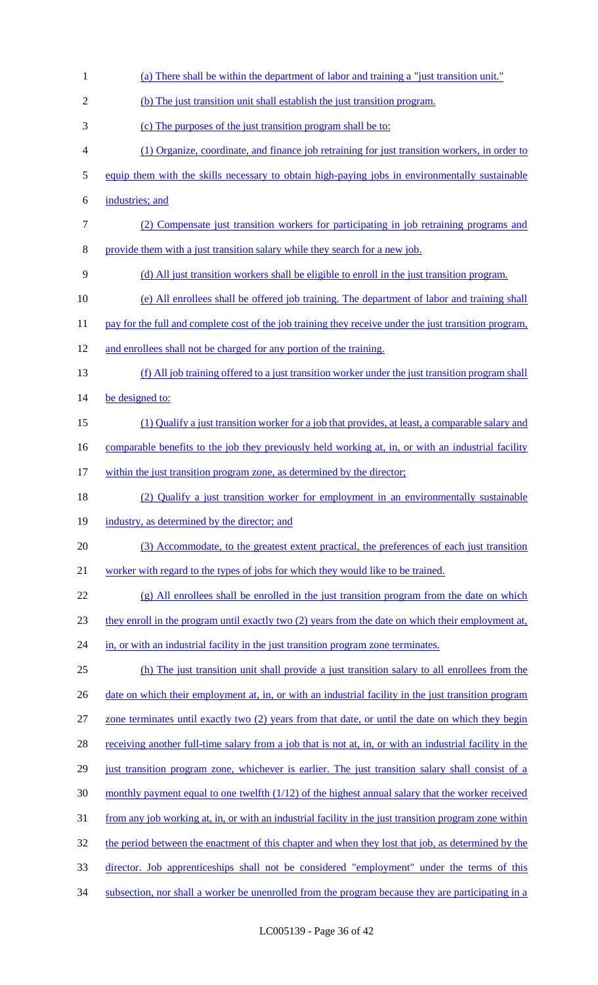| $\mathbf{1}$   | (a) There shall be within the department of labor and training a "just transition unit."                |
|----------------|---------------------------------------------------------------------------------------------------------|
| $\overline{2}$ | (b) The just transition unit shall establish the just transition program.                               |
| 3              | (c) The purposes of the just transition program shall be to:                                            |
| 4              | (1) Organize, coordinate, and finance job retraining for just transition workers, in order to           |
| 5              | equip them with the skills necessary to obtain high-paying jobs in environmentally sustainable          |
| 6              | industries; and                                                                                         |
| $\tau$         | (2) Compensate just transition workers for participating in job retraining programs and                 |
| 8              | provide them with a just transition salary while they search for a new job.                             |
| 9              | (d) All just transition workers shall be eligible to enroll in the just transition program.             |
| 10             | (e) All enrollees shall be offered job training. The department of labor and training shall             |
| 11             | pay for the full and complete cost of the job training they receive under the just transition program,  |
| 12             | and enrollees shall not be charged for any portion of the training.                                     |
| 13             | (f) All job training offered to a just transition worker under the just transition program shall        |
| 14             | be designed to:                                                                                         |
| 15             | (1) Qualify a just transition worker for a job that provides, at least, a comparable salary and         |
| 16             | comparable benefits to the job they previously held working at, in, or with an industrial facility      |
| 17             | within the just transition program zone, as determined by the director;                                 |
| 18             | (2) Qualify a just transition worker for employment in an environmentally sustainable                   |
| 19             | industry, as determined by the director; and                                                            |
| 20             | (3) Accommodate, to the greatest extent practical, the preferences of each just transition              |
| 21             | worker with regard to the types of jobs for which they would like to be trained.                        |
| 22             | $(g)$ All enrollees shall be enrolled in the just transition program from the date on which             |
| 23             | they enroll in the program until exactly two (2) years from the date on which their employment at,      |
| 24             | in, or with an industrial facility in the just transition program zone terminates.                      |
| 25             | (h) The just transition unit shall provide a just transition salary to all enrollees from the           |
| 26             | date on which their employment at, in, or with an industrial facility in the just transition program    |
| 27             | zone terminates until exactly two (2) years from that date, or until the date on which they begin       |
| 28             | receiving another full-time salary from a job that is not at, in, or with an industrial facility in the |
| 29             | just transition program zone, whichever is earlier. The just transition salary shall consist of a       |
| 30             | monthly payment equal to one twelfth (1/12) of the highest annual salary that the worker received       |
| 31             | from any job working at, in, or with an industrial facility in the just transition program zone within  |
| 32             | the period between the enactment of this chapter and when they lost that job, as determined by the      |
|                |                                                                                                         |
| 33             | director. Job apprenticeships shall not be considered "employment" under the terms of this              |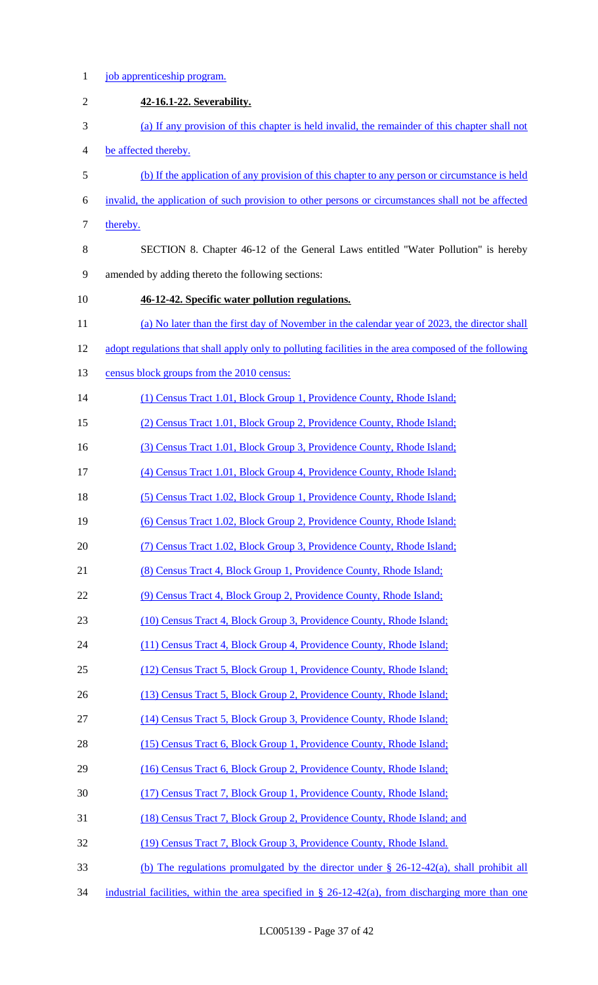| $\mathbf{1}$   | job apprenticeship program.                                                                           |
|----------------|-------------------------------------------------------------------------------------------------------|
| $\mathfrak{2}$ | 42-16.1-22. Severability.                                                                             |
| 3              | (a) If any provision of this chapter is held invalid, the remainder of this chapter shall not         |
| $\overline{4}$ | be affected thereby.                                                                                  |
| 5              | (b) If the application of any provision of this chapter to any person or circumstance is held         |
| 6              | invalid, the application of such provision to other persons or circumstances shall not be affected    |
| 7              | thereby.                                                                                              |
| 8              | SECTION 8. Chapter 46-12 of the General Laws entitled "Water Pollution" is hereby                     |
| 9              | amended by adding thereto the following sections:                                                     |
| 10             | 46-12-42. Specific water pollution regulations.                                                       |
| 11             | (a) No later than the first day of November in the calendar year of 2023, the director shall          |
| 12             | adopt regulations that shall apply only to polluting facilities in the area composed of the following |
| 13             | census block groups from the 2010 census:                                                             |
| 14             | (1) Census Tract 1.01, Block Group 1, Providence County, Rhode Island;                                |
| 15             | (2) Census Tract 1.01, Block Group 2, Providence County, Rhode Island;                                |
| 16             | (3) Census Tract 1.01, Block Group 3, Providence County, Rhode Island;                                |
| 17             | (4) Census Tract 1.01, Block Group 4, Providence County, Rhode Island;                                |
| 18             | (5) Census Tract 1.02, Block Group 1, Providence County, Rhode Island;                                |
| 19             | (6) Census Tract 1.02, Block Group 2, Providence County, Rhode Island;                                |
| 20             | (7) Census Tract 1.02, Block Group 3, Providence County, Rhode Island;                                |
| 21             | (8) Census Tract 4, Block Group 1, Providence County, Rhode Island;                                   |
| 22             | (9) Census Tract 4, Block Group 2, Providence County, Rhode Island;                                   |
| 23             | (10) Census Tract 4, Block Group 3, Providence County, Rhode Island;                                  |
| 24             | (11) Census Tract 4, Block Group 4, Providence County, Rhode Island;                                  |
| 25             | (12) Census Tract 5, Block Group 1, Providence County, Rhode Island;                                  |
| 26             | (13) Census Tract 5, Block Group 2, Providence County, Rhode Island;                                  |
| 27             | (14) Census Tract 5, Block Group 3, Providence County, Rhode Island;                                  |
| 28             | (15) Census Tract 6, Block Group 1, Providence County, Rhode Island;                                  |
| 29             | (16) Census Tract 6, Block Group 2, Providence County, Rhode Island;                                  |
| 30             | (17) Census Tract 7, Block Group 1, Providence County, Rhode Island;                                  |
| 31             | (18) Census Tract 7, Block Group 2, Providence County, Rhode Island; and                              |
| 32             | (19) Census Tract 7, Block Group 3, Providence County, Rhode Island.                                  |
| 33             | (b) The regulations promulgated by the director under $\S$ 26-12-42(a), shall prohibit all            |
| 34             | industrial facilities, within the area specified in $\S$ 26-12-42(a), from discharging more than one  |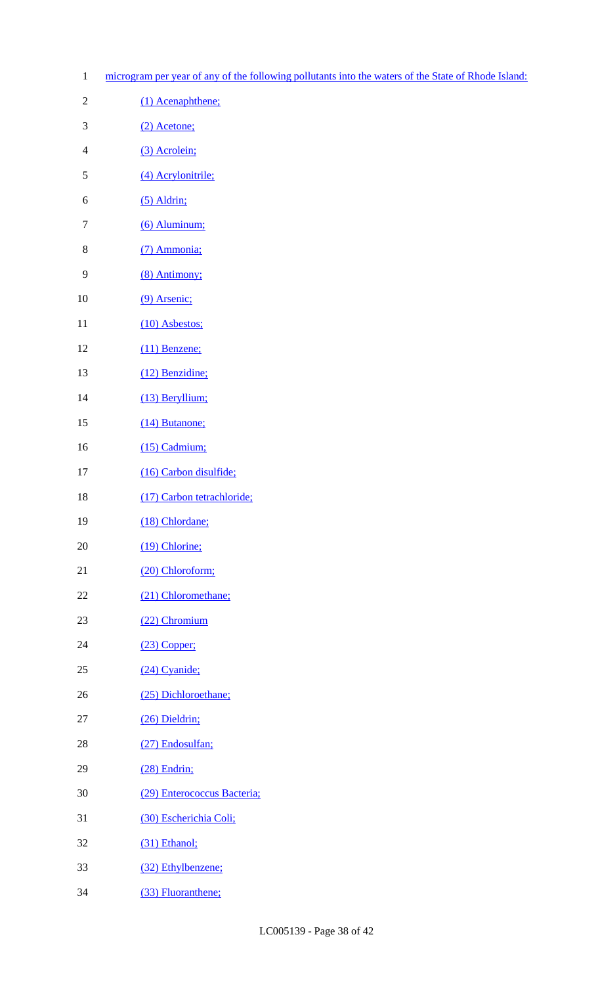1 microgram per year of any of the following pollutants into the waters of the State of Rhode Island:

| $\mathfrak{2}$ | (1) Acenaphthene;           |
|----------------|-----------------------------|
| 3              | (2) Acetone;                |
| $\overline{4}$ | (3) Acrolein;               |
| 5              | (4) Acrylonitrile;          |
| 6              | $(5)$ Aldrin;               |
| $\tau$         | $(6)$ Aluminum;             |
| 8              | (7) Ammonia;                |
| 9              | (8) Antimony;               |
| 10             | (9) Arsenic;                |
| 11             | (10) Asbestos;              |
| 12             | (11) Benzene;               |
| 13             | (12) Benzidine;             |
| 14             | (13) Beryllium;             |
| 15             | (14) Butanone;              |
| 16             | (15) Cadmium;               |
| 17             | (16) Carbon disulfide;      |
| 18             | (17) Carbon tetrachloride;  |
| 19             | (18) Chlordane;             |
| 20             | (19) Chlorine;              |
| 21             | (20) Chloroform;            |
| 22             | (21) Chloromethane;         |
| 23             | (22) Chromium               |
| 24             | $(23)$ Copper;              |
| 25             | (24) Cyanide;               |
| 26             | (25) Dichloroethane;        |
| 27             | (26) Dieldrin;              |
| 28             | (27) Endosulfan;            |
| 29             | (28) Endrin;                |
| 30             | (29) Enterococcus Bacteria; |
| 31             | (30) Escherichia Coli;      |
| 32             | (31) Ethanol;               |
| 33             | (32) Ethylbenzene;          |

(33) Fluoranthene;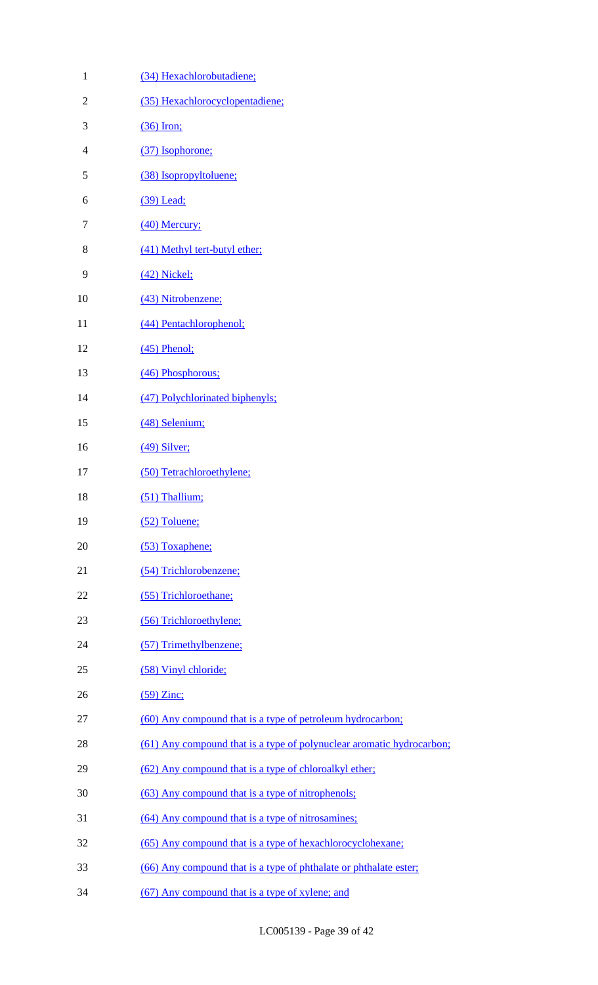| $\mathbf{1}$   | (34) Hexachlorobutadiene:                                             |
|----------------|-----------------------------------------------------------------------|
| $\overline{2}$ | (35) Hexachlorocyclopentadiene;                                       |
| 3              | $(36)$ Iron;                                                          |
| $\overline{4}$ | (37) Isophorone;                                                      |
| 5              | (38) Isopropyltoluene;                                                |
| 6              | $(39)$ Lead;                                                          |
| $\overline{7}$ | $(40)$ Mercury;                                                       |
| 8              | (41) Methyl tert-butyl ether;                                         |
| 9              | $(42)$ Nickel;                                                        |
| 10             | (43) Nitrobenzene;                                                    |
| 11             | (44) Pentachlorophenol;                                               |
| 12             | $(45)$ Phenol;                                                        |
| 13             | (46) Phosphorous;                                                     |
| 14             | (47) Polychlorinated biphenyls;                                       |
| 15             | (48) Selenium;                                                        |
| 16             | $(49)$ Silver;                                                        |
| 17             | (50) Tetrachloroethylene;                                             |
| 18             | (51) Thallium;                                                        |
| 19             | $(52)$ Toluene;                                                       |
| 20             | (53) Toxaphene;                                                       |
| 21             | (54) Trichlorobenzene;                                                |
| 22             | (55) Trichloroethane;                                                 |
| 23             | (56) Trichloroethylene;                                               |
| 24             | (57) Trimethylbenzene;                                                |
| 25             | (58) Vinyl chloride;                                                  |
| 26             | $(59)$ Zinc;                                                          |
| 27             | (60) Any compound that is a type of petroleum hydrocarbon;            |
| 28             | (61) Any compound that is a type of polynuclear aromatic hydrocarbon; |
| 29             | (62) Any compound that is a type of chloroalkyl ether;                |
| 30             | (63) Any compound that is a type of nitrophenols;                     |
| 31             | (64) Any compound that is a type of nitrosamines;                     |
| 32             | (65) Any compound that is a type of hexachlorocyclohexane;            |
| 33             | (66) Any compound that is a type of phthalate or phthalate ester;     |
| 34             | (67) Any compound that is a type of xylene; and                       |
|                |                                                                       |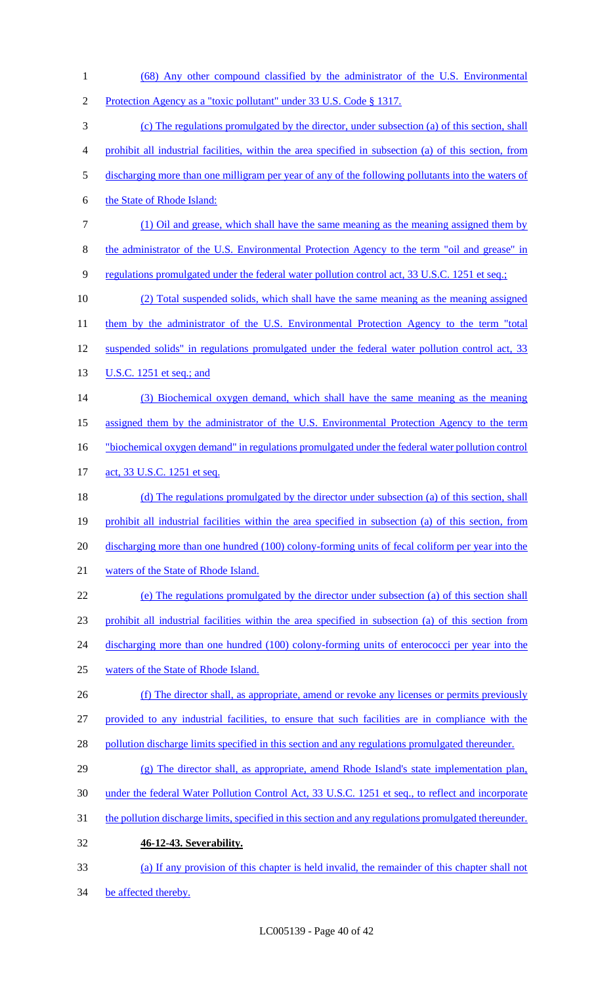- (68) Any other compound classified by the administrator of the U.S. Environmental Protection Agency as a "toxic pollutant" under 33 U.S. Code § 1317. (c) The regulations promulgated by the director, under subsection (a) of this section, shall prohibit all industrial facilities, within the area specified in subsection (a) of this section, from discharging more than one milligram per year of any of the following pollutants into the waters of
- the State of Rhode Island:
- (1) Oil and grease, which shall have the same meaning as the meaning assigned them by
- 8 the administrator of the U.S. Environmental Protection Agency to the term "oil and grease" in
- regulations promulgated under the federal water pollution control act, 33 U.S.C. 1251 et seq.;
- (2) Total suspended solids, which shall have the same meaning as the meaning assigned 11 them by the administrator of the U.S. Environmental Protection Agency to the term "total suspended solids" in regulations promulgated under the federal water pollution control act, 33 **U.S.C.** 1251 et seq.; and
- (3) Biochemical oxygen demand, which shall have the same meaning as the meaning
- assigned them by the administrator of the U.S. Environmental Protection Agency to the term
- "biochemical oxygen demand" in regulations promulgated under the federal water pollution control
- 17 act, 33 U.S.C. 1251 et seq.
- 18 (d) The regulations promulgated by the director under subsection (a) of this section, shall prohibit all industrial facilities within the area specified in subsection (a) of this section, from 20 discharging more than one hundred (100) colony-forming units of fecal coliform per year into the waters of the State of Rhode Island.
- (e) The regulations promulgated by the director under subsection (a) of this section shall prohibit all industrial facilities within the area specified in subsection (a) of this section from 24 discharging more than one hundred (100) colony-forming units of enterococci per year into the
- waters of the State of Rhode Island.
- (f) The director shall, as appropriate, amend or revoke any licenses or permits previously
- provided to any industrial facilities, to ensure that such facilities are in compliance with the
- 28 pollution discharge limits specified in this section and any regulations promulgated thereunder.
- 29 (g) The director shall, as appropriate, amend Rhode Island's state implementation plan,
- under the federal Water Pollution Control Act, 33 U.S.C. 1251 et seq., to reflect and incorporate
- the pollution discharge limits, specified in this section and any regulations promulgated thereunder.
- **46-12-43. Severability.**
- (a) If any provision of this chapter is held invalid, the remainder of this chapter shall not
- 34 be affected thereby.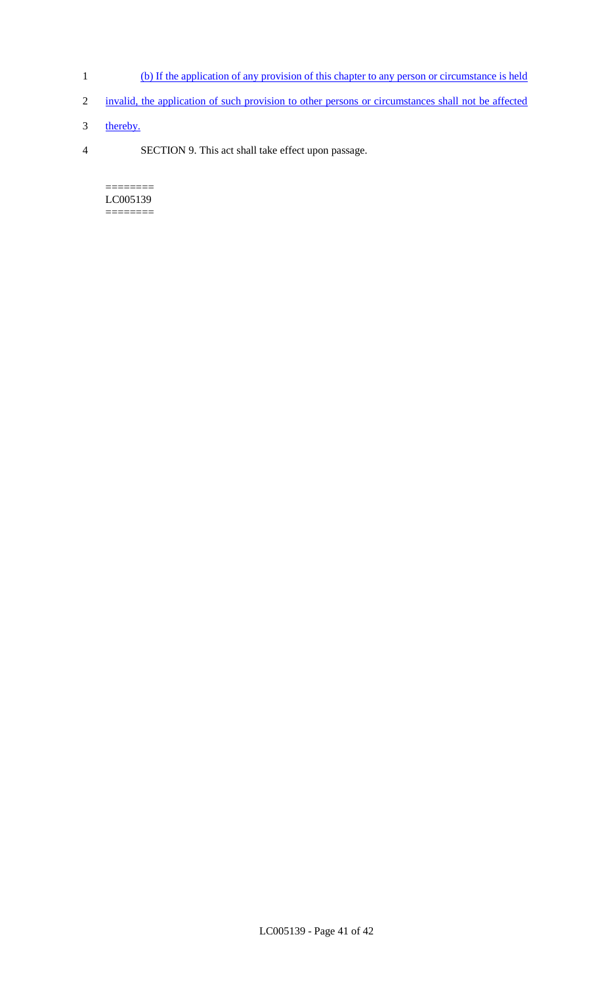- 1 (b) If the application of any provision of this chapter to any person or circumstance is held
- 2 invalid, the application of such provision to other persons or circumstances shall not be affected
- 3 thereby.
- 4 SECTION 9. This act shall take effect upon passage.

======== LC005139 ========